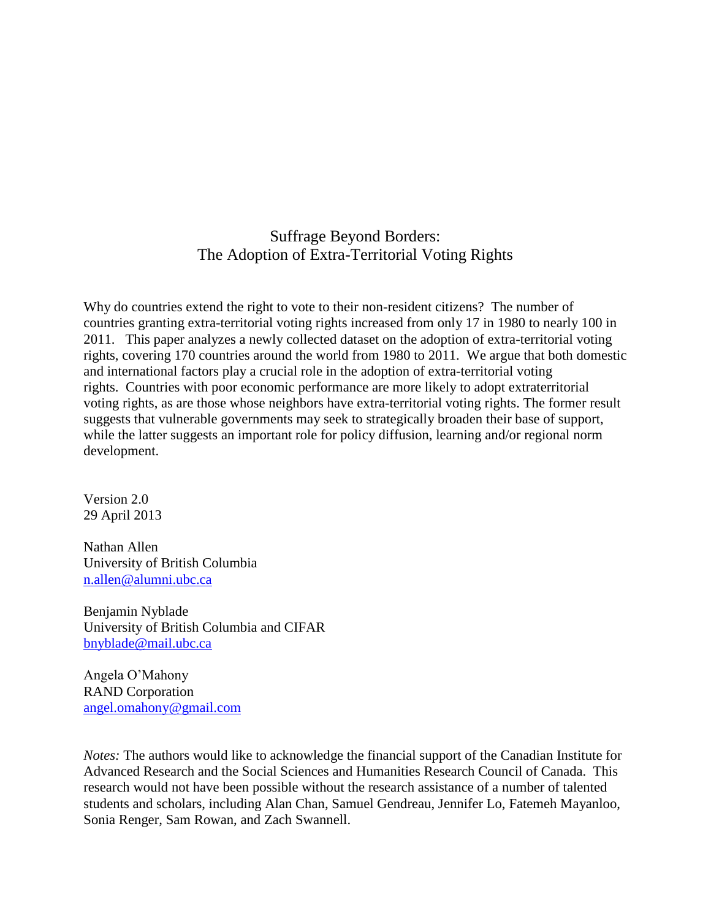# Suffrage Beyond Borders: The Adoption of Extra-Territorial Voting Rights

Why do countries extend the right to vote to their non-resident citizens? The number of countries granting extra-territorial voting rights increased from only 17 in 1980 to nearly 100 in 2011. This paper analyzes a newly collected dataset on the adoption of extra-territorial voting rights, covering 170 countries around the world from 1980 to 2011. We argue that both domestic and international factors play a crucial role in the adoption of extra-territorial voting rights. Countries with poor economic performance are more likely to adopt extraterritorial voting rights, as are those whose neighbors have extra-territorial voting rights. The former result suggests that vulnerable governments may seek to strategically broaden their base of support, while the latter suggests an important role for policy diffusion, learning and/or regional norm development.

Version 2.0 29 April 2013

Nathan Allen University of British Columbia [n.allen@alumni.ubc.ca](mailto:n.allen@alumni.ubc.ca)

Benjamin Nyblade University of British Columbia and CIFAR [bnyblade@mail.ubc.ca](mailto:bnyblade@mail.ubc.ca)

Angela O'Mahony RAND Corporation [angel.omahony@gmail.com](mailto:angel.omahony@gmail.com)

*Notes:* The authors would like to acknowledge the financial support of the Canadian Institute for Advanced Research and the Social Sciences and Humanities Research Council of Canada. This research would not have been possible without the research assistance of a number of talented students and scholars, including Alan Chan, Samuel Gendreau, Jennifer Lo, Fatemeh Mayanloo, Sonia Renger, Sam Rowan, and Zach Swannell.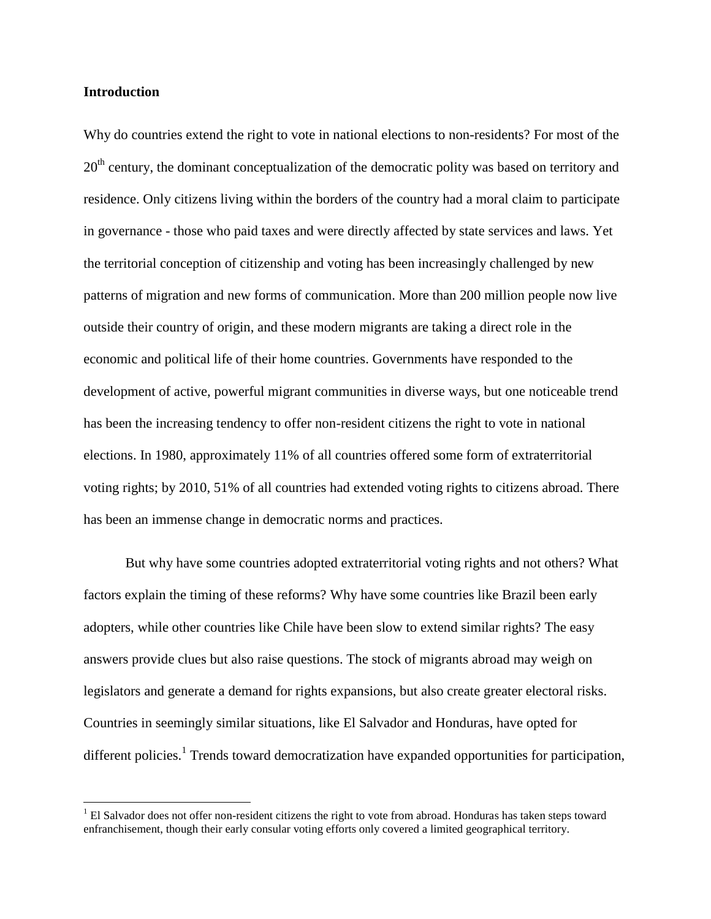#### **Introduction**

 $\overline{\phantom{a}}$ 

Why do countries extend the right to vote in national elections to non-residents? For most of the  $20<sup>th</sup>$  century, the dominant conceptualization of the democratic polity was based on territory and residence. Only citizens living within the borders of the country had a moral claim to participate in governance - those who paid taxes and were directly affected by state services and laws. Yet the territorial conception of citizenship and voting has been increasingly challenged by new patterns of migration and new forms of communication. More than 200 million people now live outside their country of origin, and these modern migrants are taking a direct role in the economic and political life of their home countries. Governments have responded to the development of active, powerful migrant communities in diverse ways, but one noticeable trend has been the increasing tendency to offer non-resident citizens the right to vote in national elections. In 1980, approximately 11% of all countries offered some form of extraterritorial voting rights; by 2010, 51% of all countries had extended voting rights to citizens abroad. There has been an immense change in democratic norms and practices.

But why have some countries adopted extraterritorial voting rights and not others? What factors explain the timing of these reforms? Why have some countries like Brazil been early adopters, while other countries like Chile have been slow to extend similar rights? The easy answers provide clues but also raise questions. The stock of migrants abroad may weigh on legislators and generate a demand for rights expansions, but also create greater electoral risks. Countries in seemingly similar situations, like El Salvador and Honduras, have opted for different policies.<sup>1</sup> Trends toward democratization have expanded opportunities for participation,

 $<sup>1</sup>$  El Salvador does not offer non-resident citizens the right to vote from abroad. Honduras has taken steps toward</sup> enfranchisement, though their early consular voting efforts only covered a limited geographical territory.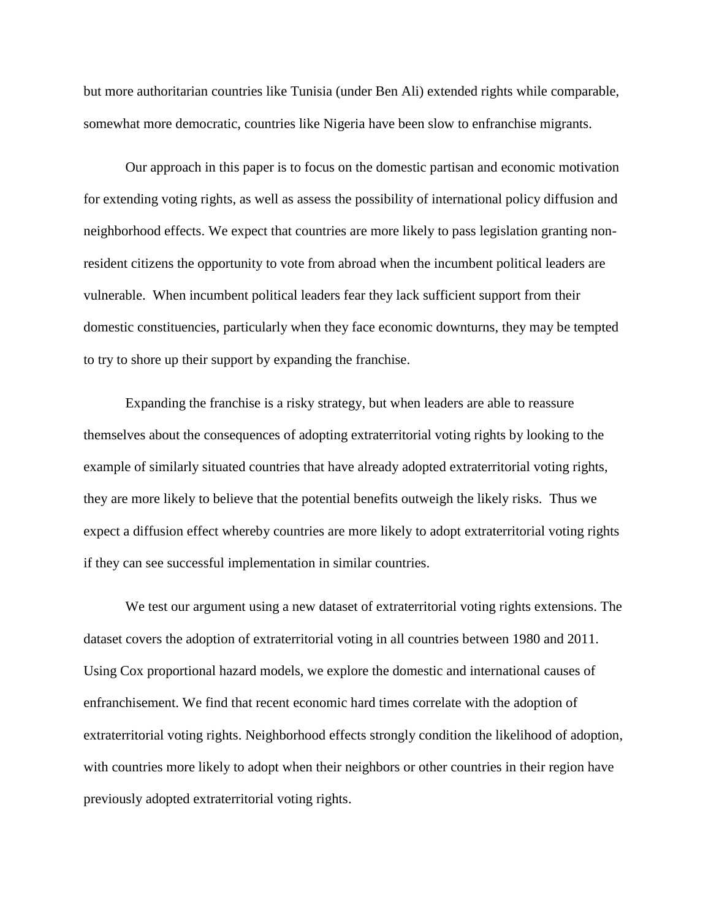but more authoritarian countries like Tunisia (under Ben Ali) extended rights while comparable, somewhat more democratic, countries like Nigeria have been slow to enfranchise migrants.

Our approach in this paper is to focus on the domestic partisan and economic motivation for extending voting rights, as well as assess the possibility of international policy diffusion and neighborhood effects. We expect that countries are more likely to pass legislation granting nonresident citizens the opportunity to vote from abroad when the incumbent political leaders are vulnerable. When incumbent political leaders fear they lack sufficient support from their domestic constituencies, particularly when they face economic downturns, they may be tempted to try to shore up their support by expanding the franchise.

Expanding the franchise is a risky strategy, but when leaders are able to reassure themselves about the consequences of adopting extraterritorial voting rights by looking to the example of similarly situated countries that have already adopted extraterritorial voting rights, they are more likely to believe that the potential benefits outweigh the likely risks. Thus we expect a diffusion effect whereby countries are more likely to adopt extraterritorial voting rights if they can see successful implementation in similar countries.

We test our argument using a new dataset of extraterritorial voting rights extensions. The dataset covers the adoption of extraterritorial voting in all countries between 1980 and 2011. Using Cox proportional hazard models, we explore the domestic and international causes of enfranchisement. We find that recent economic hard times correlate with the adoption of extraterritorial voting rights. Neighborhood effects strongly condition the likelihood of adoption, with countries more likely to adopt when their neighbors or other countries in their region have previously adopted extraterritorial voting rights.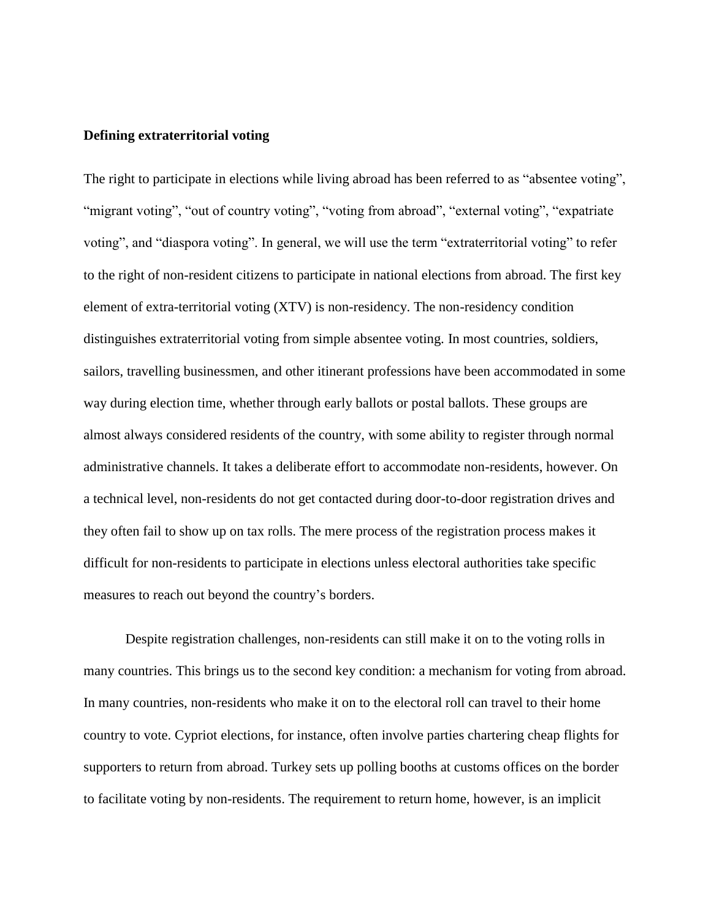#### **Defining extraterritorial voting**

The right to participate in elections while living abroad has been referred to as "absentee voting", "migrant voting", "out of country voting", "voting from abroad", "external voting", "expatriate voting", and "diaspora voting". In general, we will use the term "extraterritorial voting" to refer to the right of non-resident citizens to participate in national elections from abroad. The first key element of extra-territorial voting (XTV) is non-residency. The non-residency condition distinguishes extraterritorial voting from simple absentee voting. In most countries, soldiers, sailors, travelling businessmen, and other itinerant professions have been accommodated in some way during election time, whether through early ballots or postal ballots. These groups are almost always considered residents of the country, with some ability to register through normal administrative channels. It takes a deliberate effort to accommodate non-residents, however. On a technical level, non-residents do not get contacted during door-to-door registration drives and they often fail to show up on tax rolls. The mere process of the registration process makes it difficult for non-residents to participate in elections unless electoral authorities take specific measures to reach out beyond the country's borders.

Despite registration challenges, non-residents can still make it on to the voting rolls in many countries. This brings us to the second key condition: a mechanism for voting from abroad. In many countries, non-residents who make it on to the electoral roll can travel to their home country to vote. Cypriot elections, for instance, often involve parties chartering cheap flights for supporters to return from abroad. Turkey sets up polling booths at customs offices on the border to facilitate voting by non-residents. The requirement to return home, however, is an implicit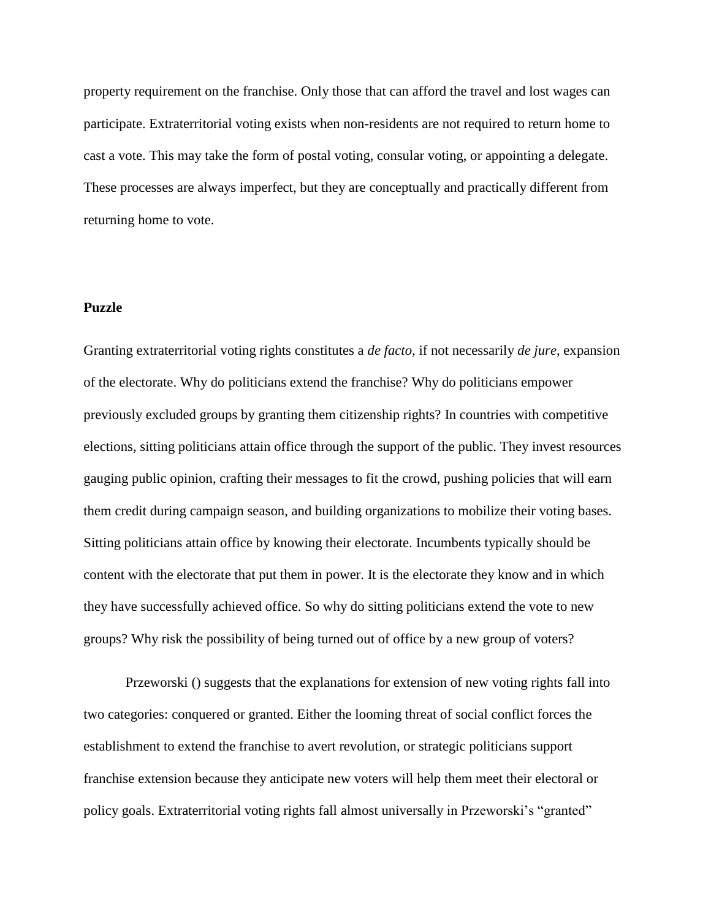property requirement on the franchise. Only those that can afford the travel and lost wages can participate. Extraterritorial voting exists when non-residents are not required to return home to cast a vote. This may take the form of postal voting, consular voting, or appointing a delegate. These processes are always imperfect, but they are conceptually and practically different from returning home to vote.

# **Puzzle**

Granting extraterritorial voting rights constitutes a *de facto*, if not necessarily *de jure*, expansion of the electorate. Why do politicians extend the franchise? Why do politicians empower previously excluded groups by granting them citizenship rights? In countries with competitive elections, sitting politicians attain office through the support of the public. They invest resources gauging public opinion, crafting their messages to fit the crowd, pushing policies that will earn them credit during campaign season, and building organizations to mobilize their voting bases. Sitting politicians attain office by knowing their electorate. Incumbents typically should be content with the electorate that put them in power. It is the electorate they know and in which they have successfully achieved office. So why do sitting politicians extend the vote to new groups? Why risk the possibility of being turned out of office by a new group of voters?

Przeworski () suggests that the explanations for extension of new voting rights fall into two categories: conquered or granted. Either the looming threat of social conflict forces the establishment to extend the franchise to avert revolution, or strategic politicians support franchise extension because they anticipate new voters will help them meet their electoral or policy goals. Extraterritorial voting rights fall almost universally in Przeworski's "granted"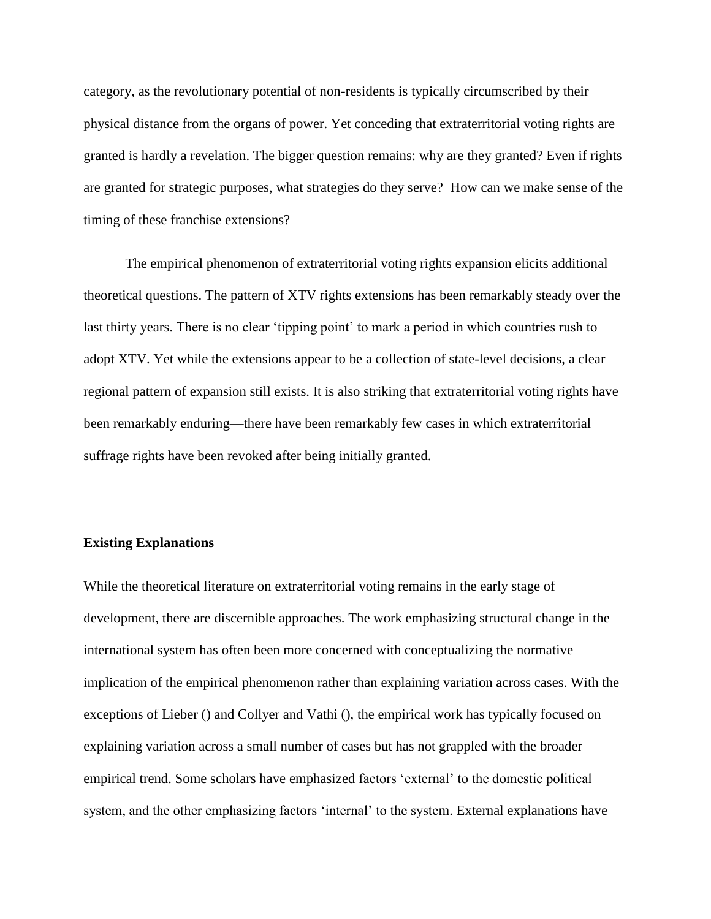category, as the revolutionary potential of non-residents is typically circumscribed by their physical distance from the organs of power. Yet conceding that extraterritorial voting rights are granted is hardly a revelation. The bigger question remains: why are they granted? Even if rights are granted for strategic purposes, what strategies do they serve? How can we make sense of the timing of these franchise extensions?

The empirical phenomenon of extraterritorial voting rights expansion elicits additional theoretical questions. The pattern of XTV rights extensions has been remarkably steady over the last thirty years. There is no clear 'tipping point' to mark a period in which countries rush to adopt XTV. Yet while the extensions appear to be a collection of state-level decisions, a clear regional pattern of expansion still exists. It is also striking that extraterritorial voting rights have been remarkably enduring—there have been remarkably few cases in which extraterritorial suffrage rights have been revoked after being initially granted.

#### **Existing Explanations**

While the theoretical literature on extraterritorial voting remains in the early stage of development, there are discernible approaches. The work emphasizing structural change in the international system has often been more concerned with conceptualizing the normative implication of the empirical phenomenon rather than explaining variation across cases. With the exceptions of Lieber () and Collyer and Vathi (), the empirical work has typically focused on explaining variation across a small number of cases but has not grappled with the broader empirical trend. Some scholars have emphasized factors 'external' to the domestic political system, and the other emphasizing factors 'internal' to the system. External explanations have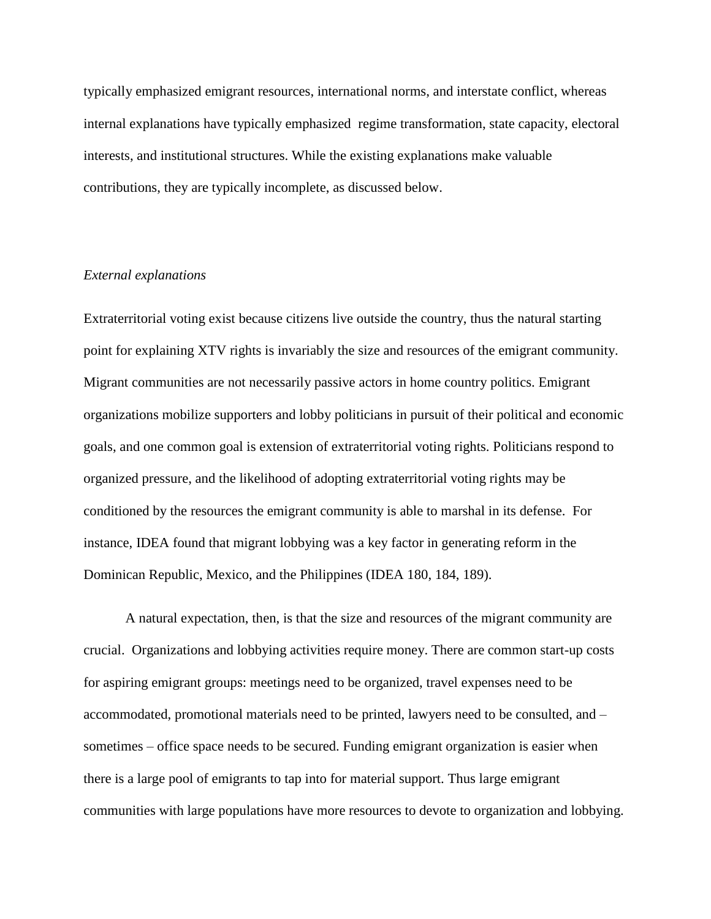typically emphasized emigrant resources, international norms, and interstate conflict, whereas internal explanations have typically emphasized regime transformation, state capacity, electoral interests, and institutional structures. While the existing explanations make valuable contributions, they are typically incomplete, as discussed below.

# *External explanations*

Extraterritorial voting exist because citizens live outside the country, thus the natural starting point for explaining XTV rights is invariably the size and resources of the emigrant community. Migrant communities are not necessarily passive actors in home country politics. Emigrant organizations mobilize supporters and lobby politicians in pursuit of their political and economic goals, and one common goal is extension of extraterritorial voting rights. Politicians respond to organized pressure, and the likelihood of adopting extraterritorial voting rights may be conditioned by the resources the emigrant community is able to marshal in its defense. For instance, IDEA found that migrant lobbying was a key factor in generating reform in the Dominican Republic, Mexico, and the Philippines (IDEA 180, 184, 189).

A natural expectation, then, is that the size and resources of the migrant community are crucial. Organizations and lobbying activities require money. There are common start-up costs for aspiring emigrant groups: meetings need to be organized, travel expenses need to be accommodated, promotional materials need to be printed, lawyers need to be consulted, and – sometimes – office space needs to be secured. Funding emigrant organization is easier when there is a large pool of emigrants to tap into for material support. Thus large emigrant communities with large populations have more resources to devote to organization and lobbying.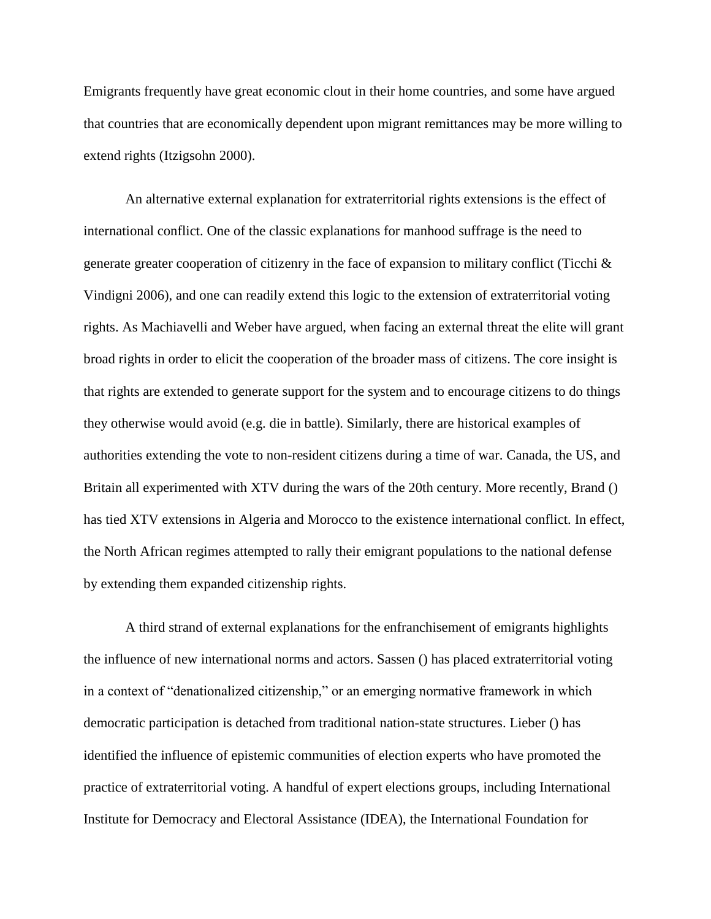Emigrants frequently have great economic clout in their home countries, and some have argued that countries that are economically dependent upon migrant remittances may be more willing to extend rights (Itzigsohn 2000).

An alternative external explanation for extraterritorial rights extensions is the effect of international conflict. One of the classic explanations for manhood suffrage is the need to generate greater cooperation of citizenry in the face of expansion to military conflict (Ticchi  $\&$ Vindigni 2006), and one can readily extend this logic to the extension of extraterritorial voting rights. As Machiavelli and Weber have argued, when facing an external threat the elite will grant broad rights in order to elicit the cooperation of the broader mass of citizens. The core insight is that rights are extended to generate support for the system and to encourage citizens to do things they otherwise would avoid (e.g. die in battle). Similarly, there are historical examples of authorities extending the vote to non-resident citizens during a time of war. Canada, the US, and Britain all experimented with XTV during the wars of the 20th century. More recently, Brand () has tied XTV extensions in Algeria and Morocco to the existence international conflict. In effect, the North African regimes attempted to rally their emigrant populations to the national defense by extending them expanded citizenship rights.

A third strand of external explanations for the enfranchisement of emigrants highlights the influence of new international norms and actors. Sassen () has placed extraterritorial voting in a context of "denationalized citizenship," or an emerging normative framework in which democratic participation is detached from traditional nation-state structures. Lieber () has identified the influence of epistemic communities of election experts who have promoted the practice of extraterritorial voting. A handful of expert elections groups, including International Institute for Democracy and Electoral Assistance (IDEA), the International Foundation for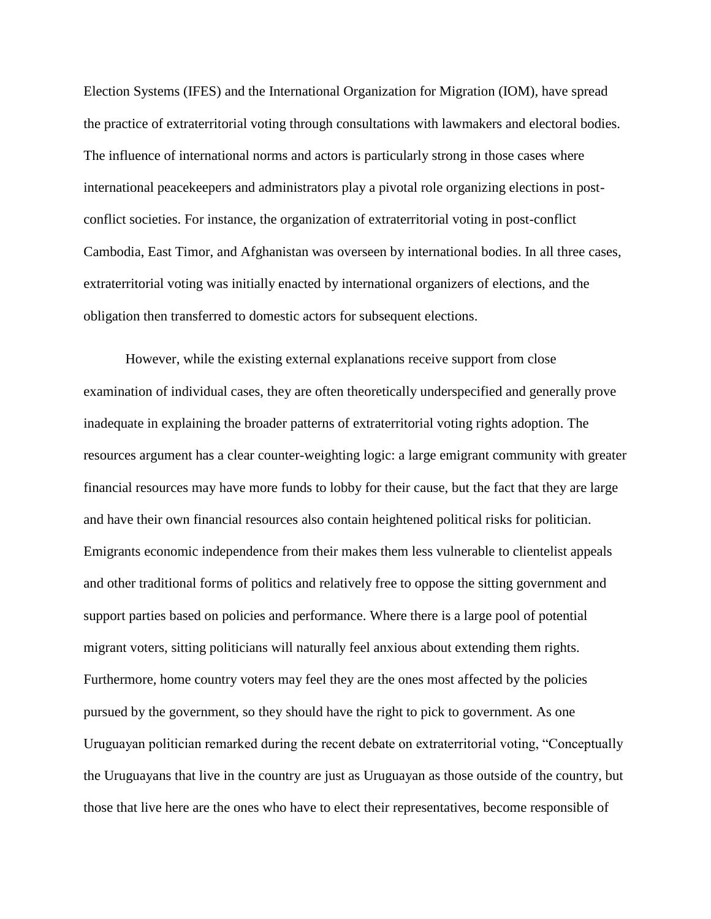Election Systems (IFES) and the International Organization for Migration (IOM), have spread the practice of extraterritorial voting through consultations with lawmakers and electoral bodies. The influence of international norms and actors is particularly strong in those cases where international peacekeepers and administrators play a pivotal role organizing elections in postconflict societies. For instance, the organization of extraterritorial voting in post-conflict Cambodia, East Timor, and Afghanistan was overseen by international bodies. In all three cases, extraterritorial voting was initially enacted by international organizers of elections, and the obligation then transferred to domestic actors for subsequent elections.

However, while the existing external explanations receive support from close examination of individual cases, they are often theoretically underspecified and generally prove inadequate in explaining the broader patterns of extraterritorial voting rights adoption. The resources argument has a clear counter-weighting logic: a large emigrant community with greater financial resources may have more funds to lobby for their cause, but the fact that they are large and have their own financial resources also contain heightened political risks for politician. Emigrants economic independence from their makes them less vulnerable to clientelist appeals and other traditional forms of politics and relatively free to oppose the sitting government and support parties based on policies and performance. Where there is a large pool of potential migrant voters, sitting politicians will naturally feel anxious about extending them rights. Furthermore, home country voters may feel they are the ones most affected by the policies pursued by the government, so they should have the right to pick to government. As one Uruguayan politician remarked during the recent debate on extraterritorial voting, "Conceptually the Uruguayans that live in the country are just as Uruguayan as those outside of the country, but those that live here are the ones who have to elect their representatives, become responsible of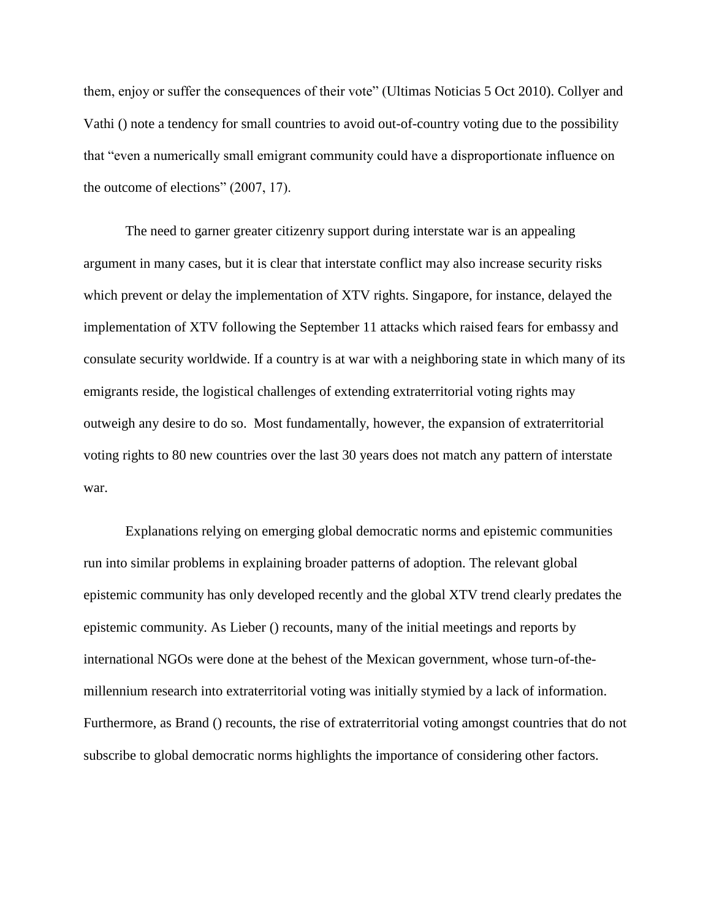them, enjoy or suffer the consequences of their vote" (Ultimas Noticias 5 Oct 2010). Collyer and Vathi () note a tendency for small countries to avoid out-of-country voting due to the possibility that "even a numerically small emigrant community could have a disproportionate influence on the outcome of elections" (2007, 17).

The need to garner greater citizenry support during interstate war is an appealing argument in many cases, but it is clear that interstate conflict may also increase security risks which prevent or delay the implementation of XTV rights. Singapore, for instance, delayed the implementation of XTV following the September 11 attacks which raised fears for embassy and consulate security worldwide. If a country is at war with a neighboring state in which many of its emigrants reside, the logistical challenges of extending extraterritorial voting rights may outweigh any desire to do so. Most fundamentally, however, the expansion of extraterritorial voting rights to 80 new countries over the last 30 years does not match any pattern of interstate war.

Explanations relying on emerging global democratic norms and epistemic communities run into similar problems in explaining broader patterns of adoption. The relevant global epistemic community has only developed recently and the global XTV trend clearly predates the epistemic community. As Lieber () recounts, many of the initial meetings and reports by international NGOs were done at the behest of the Mexican government, whose turn-of-themillennium research into extraterritorial voting was initially stymied by a lack of information. Furthermore, as Brand () recounts, the rise of extraterritorial voting amongst countries that do not subscribe to global democratic norms highlights the importance of considering other factors.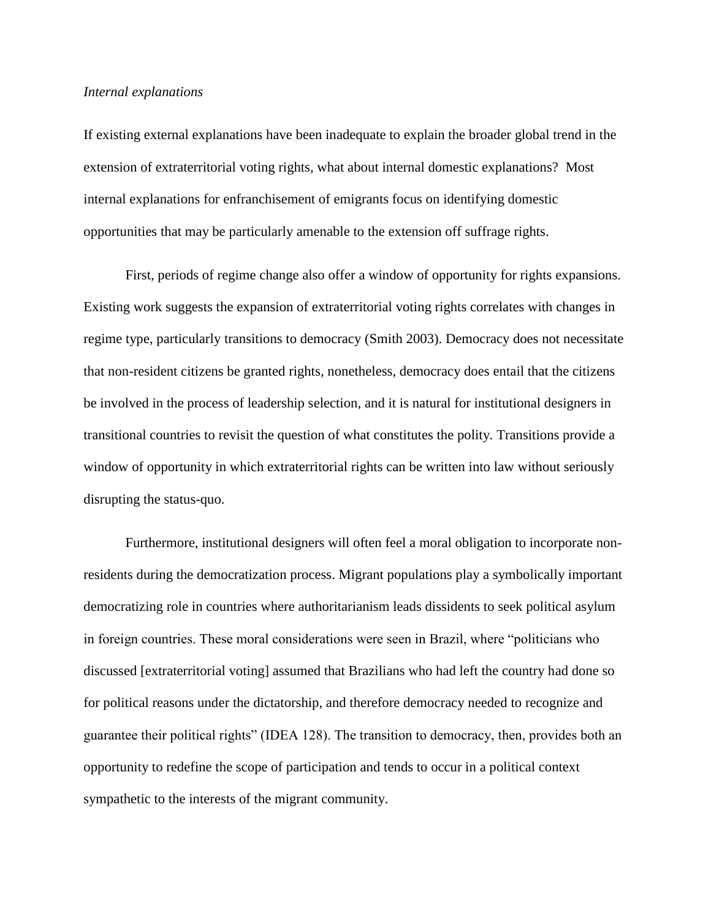### *Internal explanations*

If existing external explanations have been inadequate to explain the broader global trend in the extension of extraterritorial voting rights, what about internal domestic explanations? Most internal explanations for enfranchisement of emigrants focus on identifying domestic opportunities that may be particularly amenable to the extension off suffrage rights.

First, periods of regime change also offer a window of opportunity for rights expansions. Existing work suggests the expansion of extraterritorial voting rights correlates with changes in regime type, particularly transitions to democracy (Smith 2003). Democracy does not necessitate that non-resident citizens be granted rights, nonetheless, democracy does entail that the citizens be involved in the process of leadership selection, and it is natural for institutional designers in transitional countries to revisit the question of what constitutes the polity. Transitions provide a window of opportunity in which extraterritorial rights can be written into law without seriously disrupting the status-quo.

Furthermore, institutional designers will often feel a moral obligation to incorporate nonresidents during the democratization process. Migrant populations play a symbolically important democratizing role in countries where authoritarianism leads dissidents to seek political asylum in foreign countries. These moral considerations were seen in Brazil, where "politicians who discussed [extraterritorial voting] assumed that Brazilians who had left the country had done so for political reasons under the dictatorship, and therefore democracy needed to recognize and guarantee their political rights" (IDEA 128). The transition to democracy, then, provides both an opportunity to redefine the scope of participation and tends to occur in a political context sympathetic to the interests of the migrant community.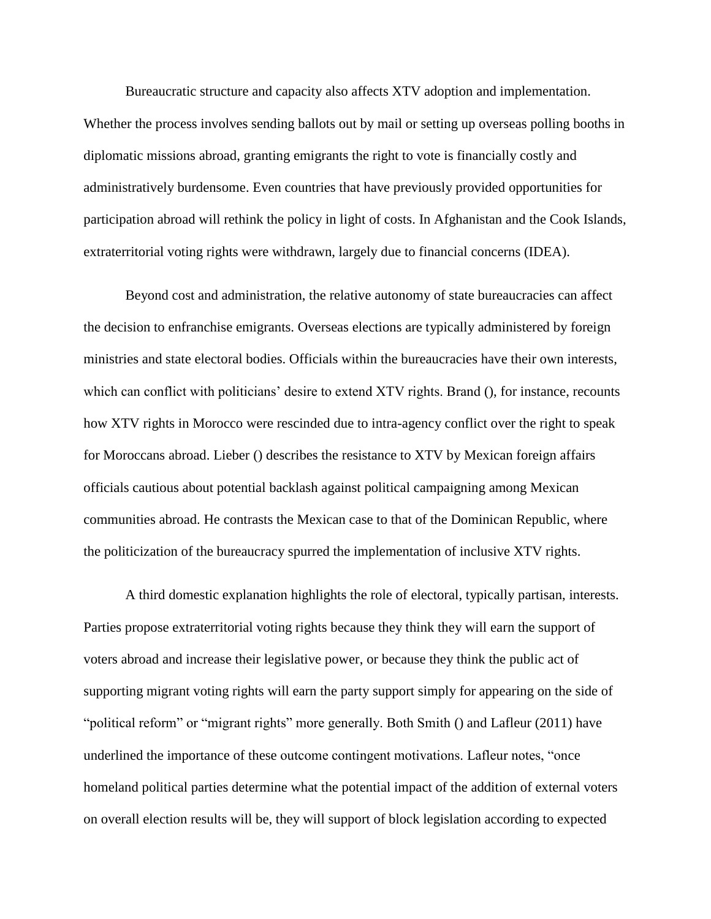Bureaucratic structure and capacity also affects XTV adoption and implementation. Whether the process involves sending ballots out by mail or setting up overseas polling booths in diplomatic missions abroad, granting emigrants the right to vote is financially costly and administratively burdensome. Even countries that have previously provided opportunities for participation abroad will rethink the policy in light of costs. In Afghanistan and the Cook Islands, extraterritorial voting rights were withdrawn, largely due to financial concerns (IDEA).

Beyond cost and administration, the relative autonomy of state bureaucracies can affect the decision to enfranchise emigrants. Overseas elections are typically administered by foreign ministries and state electoral bodies. Officials within the bureaucracies have their own interests, which can conflict with politicians' desire to extend XTV rights. Brand (), for instance, recounts how XTV rights in Morocco were rescinded due to intra-agency conflict over the right to speak for Moroccans abroad. Lieber () describes the resistance to XTV by Mexican foreign affairs officials cautious about potential backlash against political campaigning among Mexican communities abroad. He contrasts the Mexican case to that of the Dominican Republic, where the politicization of the bureaucracy spurred the implementation of inclusive XTV rights.

A third domestic explanation highlights the role of electoral, typically partisan, interests. Parties propose extraterritorial voting rights because they think they will earn the support of voters abroad and increase their legislative power, or because they think the public act of supporting migrant voting rights will earn the party support simply for appearing on the side of "political reform" or "migrant rights" more generally. Both Smith () and Lafleur (2011) have underlined the importance of these outcome contingent motivations. Lafleur notes, "once homeland political parties determine what the potential impact of the addition of external voters on overall election results will be, they will support of block legislation according to expected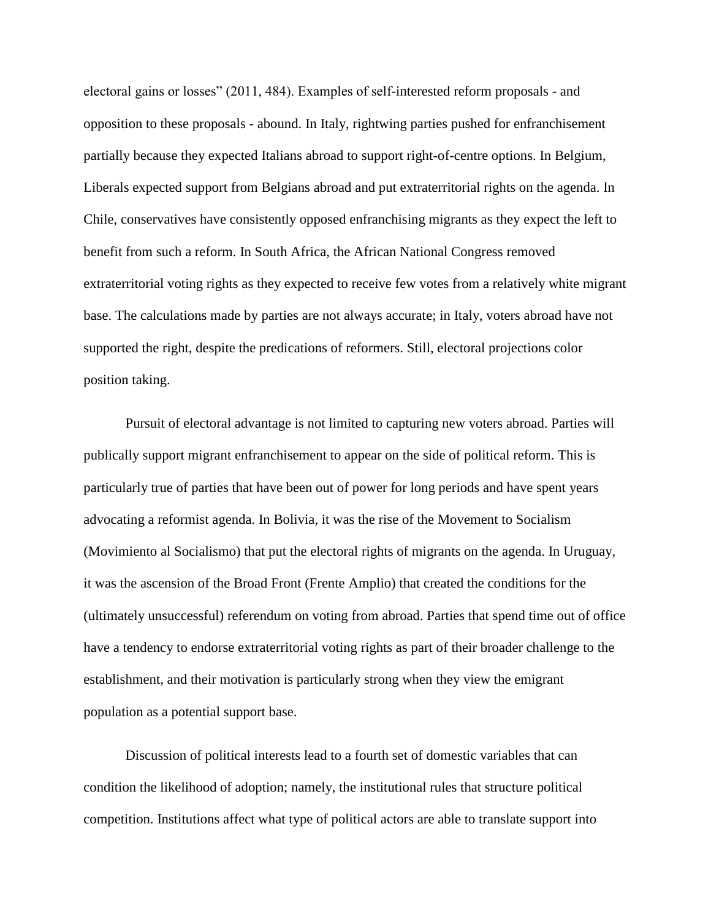electoral gains or losses" (2011, 484). Examples of self-interested reform proposals - and opposition to these proposals - abound. In Italy, rightwing parties pushed for enfranchisement partially because they expected Italians abroad to support right-of-centre options. In Belgium, Liberals expected support from Belgians abroad and put extraterritorial rights on the agenda. In Chile, conservatives have consistently opposed enfranchising migrants as they expect the left to benefit from such a reform. In South Africa, the African National Congress removed extraterritorial voting rights as they expected to receive few votes from a relatively white migrant base. The calculations made by parties are not always accurate; in Italy, voters abroad have not supported the right, despite the predications of reformers. Still, electoral projections color position taking.

Pursuit of electoral advantage is not limited to capturing new voters abroad. Parties will publically support migrant enfranchisement to appear on the side of political reform. This is particularly true of parties that have been out of power for long periods and have spent years advocating a reformist agenda. In Bolivia, it was the rise of the Movement to Socialism (Movimiento al Socialismo) that put the electoral rights of migrants on the agenda. In Uruguay, it was the ascension of the Broad Front (Frente Amplio) that created the conditions for the (ultimately unsuccessful) referendum on voting from abroad. Parties that spend time out of office have a tendency to endorse extraterritorial voting rights as part of their broader challenge to the establishment, and their motivation is particularly strong when they view the emigrant population as a potential support base.

Discussion of political interests lead to a fourth set of domestic variables that can condition the likelihood of adoption; namely, the institutional rules that structure political competition. Institutions affect what type of political actors are able to translate support into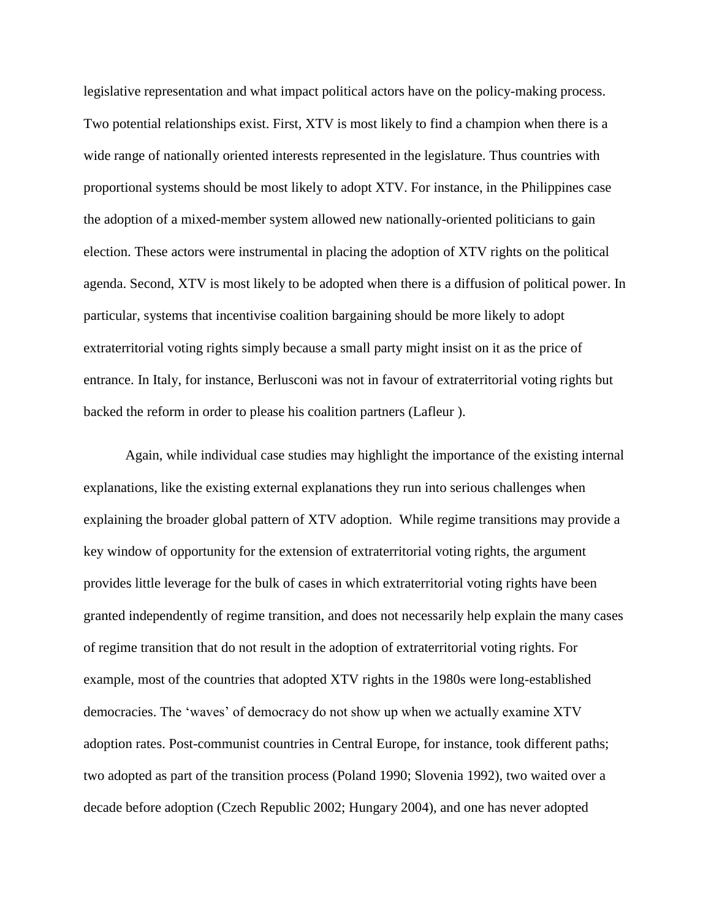legislative representation and what impact political actors have on the policy-making process. Two potential relationships exist. First, XTV is most likely to find a champion when there is a wide range of nationally oriented interests represented in the legislature. Thus countries with proportional systems should be most likely to adopt XTV. For instance, in the Philippines case the adoption of a mixed-member system allowed new nationally-oriented politicians to gain election. These actors were instrumental in placing the adoption of XTV rights on the political agenda. Second, XTV is most likely to be adopted when there is a diffusion of political power. In particular, systems that incentivise coalition bargaining should be more likely to adopt extraterritorial voting rights simply because a small party might insist on it as the price of entrance. In Italy, for instance, Berlusconi was not in favour of extraterritorial voting rights but backed the reform in order to please his coalition partners (Lafleur ).

Again, while individual case studies may highlight the importance of the existing internal explanations, like the existing external explanations they run into serious challenges when explaining the broader global pattern of XTV adoption. While regime transitions may provide a key window of opportunity for the extension of extraterritorial voting rights, the argument provides little leverage for the bulk of cases in which extraterritorial voting rights have been granted independently of regime transition, and does not necessarily help explain the many cases of regime transition that do not result in the adoption of extraterritorial voting rights. For example, most of the countries that adopted XTV rights in the 1980s were long-established democracies. The 'waves' of democracy do not show up when we actually examine XTV adoption rates. Post-communist countries in Central Europe, for instance, took different paths; two adopted as part of the transition process (Poland 1990; Slovenia 1992), two waited over a decade before adoption (Czech Republic 2002; Hungary 2004), and one has never adopted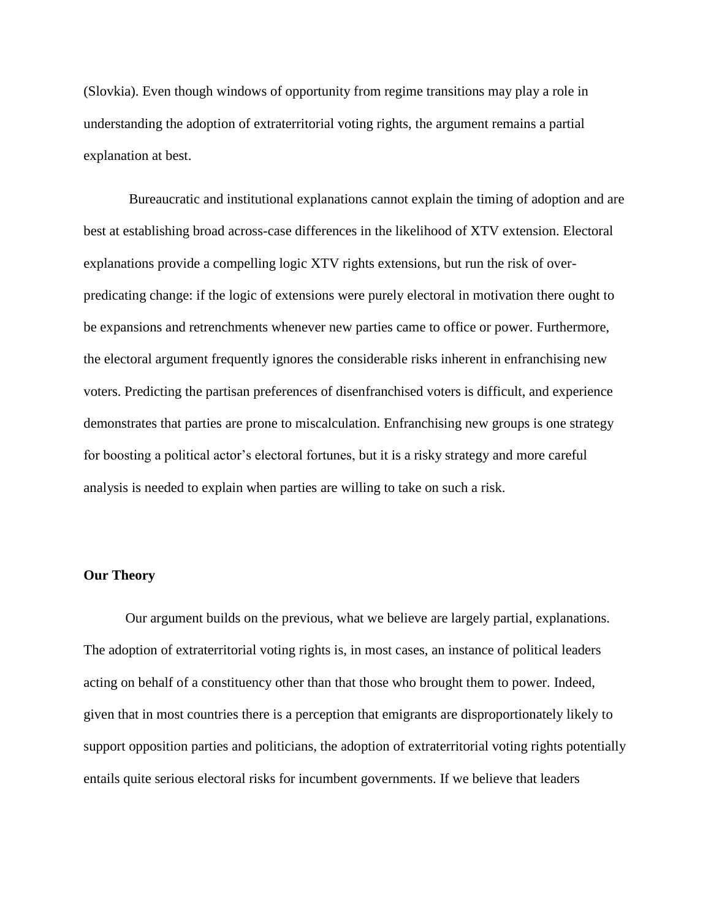(Slovkia). Even though windows of opportunity from regime transitions may play a role in understanding the adoption of extraterritorial voting rights, the argument remains a partial explanation at best.

Bureaucratic and institutional explanations cannot explain the timing of adoption and are best at establishing broad across-case differences in the likelihood of XTV extension. Electoral explanations provide a compelling logic XTV rights extensions, but run the risk of overpredicating change: if the logic of extensions were purely electoral in motivation there ought to be expansions and retrenchments whenever new parties came to office or power. Furthermore, the electoral argument frequently ignores the considerable risks inherent in enfranchising new voters. Predicting the partisan preferences of disenfranchised voters is difficult, and experience demonstrates that parties are prone to miscalculation. Enfranchising new groups is one strategy for boosting a political actor's electoral fortunes, but it is a risky strategy and more careful analysis is needed to explain when parties are willing to take on such a risk.

#### **Our Theory**

Our argument builds on the previous, what we believe are largely partial, explanations. The adoption of extraterritorial voting rights is, in most cases, an instance of political leaders acting on behalf of a constituency other than that those who brought them to power. Indeed, given that in most countries there is a perception that emigrants are disproportionately likely to support opposition parties and politicians, the adoption of extraterritorial voting rights potentially entails quite serious electoral risks for incumbent governments. If we believe that leaders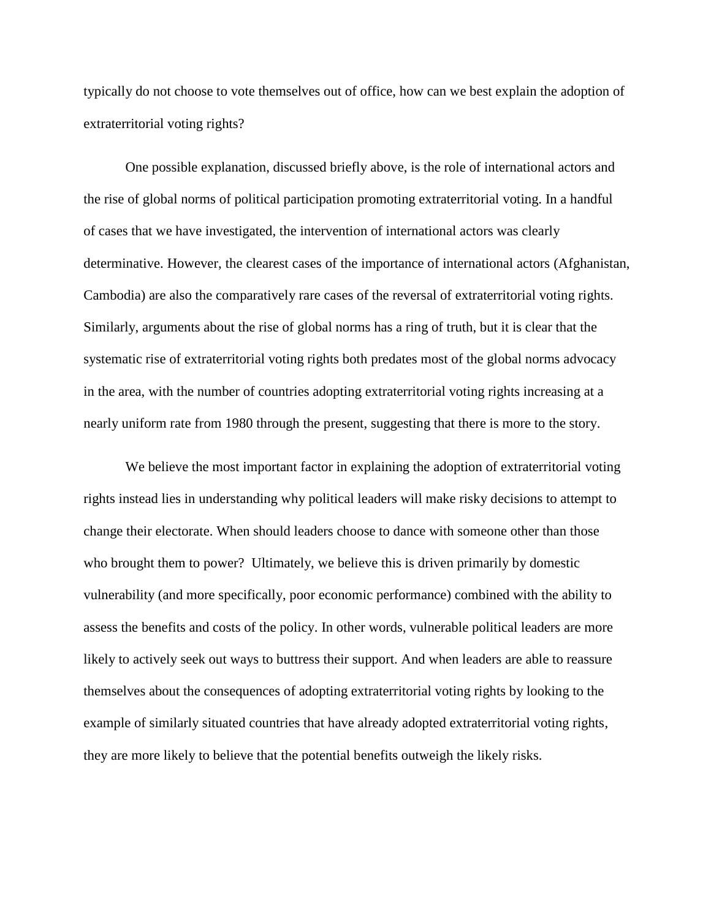typically do not choose to vote themselves out of office, how can we best explain the adoption of extraterritorial voting rights?

One possible explanation, discussed briefly above, is the role of international actors and the rise of global norms of political participation promoting extraterritorial voting. In a handful of cases that we have investigated, the intervention of international actors was clearly determinative. However, the clearest cases of the importance of international actors (Afghanistan, Cambodia) are also the comparatively rare cases of the reversal of extraterritorial voting rights. Similarly, arguments about the rise of global norms has a ring of truth, but it is clear that the systematic rise of extraterritorial voting rights both predates most of the global norms advocacy in the area, with the number of countries adopting extraterritorial voting rights increasing at a nearly uniform rate from 1980 through the present, suggesting that there is more to the story.

We believe the most important factor in explaining the adoption of extraterritorial voting rights instead lies in understanding why political leaders will make risky decisions to attempt to change their electorate. When should leaders choose to dance with someone other than those who brought them to power? Ultimately, we believe this is driven primarily by domestic vulnerability (and more specifically, poor economic performance) combined with the ability to assess the benefits and costs of the policy. In other words, vulnerable political leaders are more likely to actively seek out ways to buttress their support. And when leaders are able to reassure themselves about the consequences of adopting extraterritorial voting rights by looking to the example of similarly situated countries that have already adopted extraterritorial voting rights, they are more likely to believe that the potential benefits outweigh the likely risks.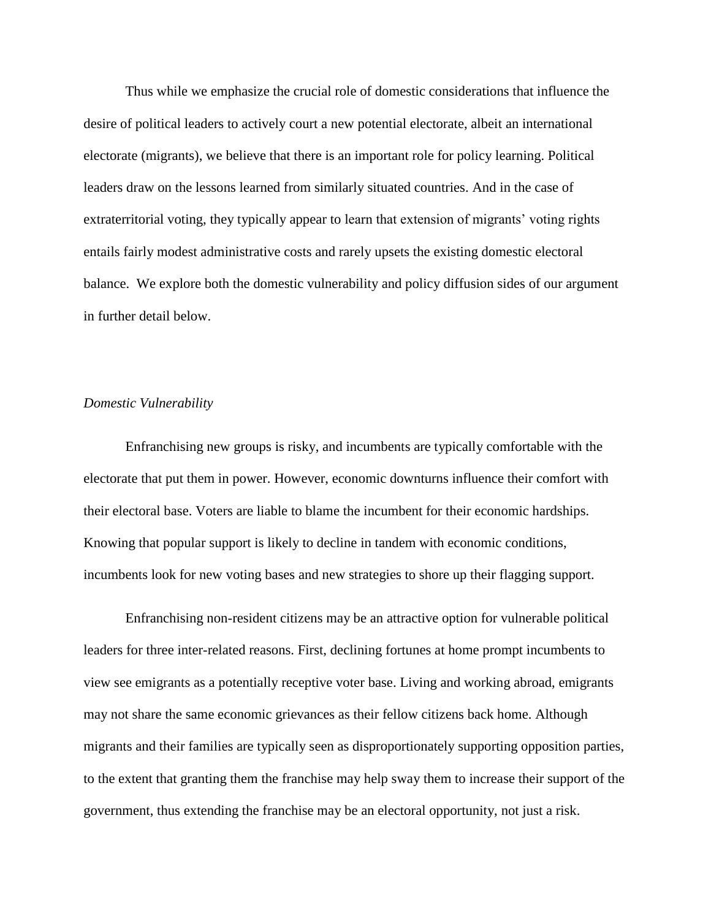Thus while we emphasize the crucial role of domestic considerations that influence the desire of political leaders to actively court a new potential electorate, albeit an international electorate (migrants), we believe that there is an important role for policy learning. Political leaders draw on the lessons learned from similarly situated countries. And in the case of extraterritorial voting, they typically appear to learn that extension of migrants' voting rights entails fairly modest administrative costs and rarely upsets the existing domestic electoral balance. We explore both the domestic vulnerability and policy diffusion sides of our argument in further detail below.

#### *Domestic Vulnerability*

Enfranchising new groups is risky, and incumbents are typically comfortable with the electorate that put them in power. However, economic downturns influence their comfort with their electoral base. Voters are liable to blame the incumbent for their economic hardships. Knowing that popular support is likely to decline in tandem with economic conditions, incumbents look for new voting bases and new strategies to shore up their flagging support.

Enfranchising non-resident citizens may be an attractive option for vulnerable political leaders for three inter-related reasons. First, declining fortunes at home prompt incumbents to view see emigrants as a potentially receptive voter base. Living and working abroad, emigrants may not share the same economic grievances as their fellow citizens back home. Although migrants and their families are typically seen as disproportionately supporting opposition parties, to the extent that granting them the franchise may help sway them to increase their support of the government, thus extending the franchise may be an electoral opportunity, not just a risk.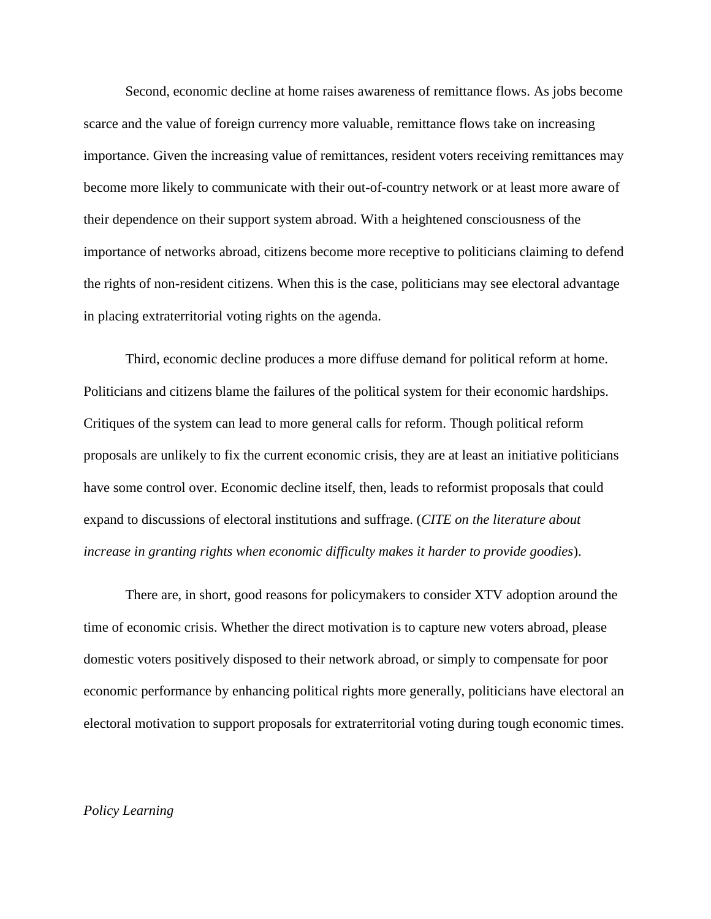Second, economic decline at home raises awareness of remittance flows. As jobs become scarce and the value of foreign currency more valuable, remittance flows take on increasing importance. Given the increasing value of remittances, resident voters receiving remittances may become more likely to communicate with their out-of-country network or at least more aware of their dependence on their support system abroad. With a heightened consciousness of the importance of networks abroad, citizens become more receptive to politicians claiming to defend the rights of non-resident citizens. When this is the case, politicians may see electoral advantage in placing extraterritorial voting rights on the agenda.

Third, economic decline produces a more diffuse demand for political reform at home. Politicians and citizens blame the failures of the political system for their economic hardships. Critiques of the system can lead to more general calls for reform. Though political reform proposals are unlikely to fix the current economic crisis, they are at least an initiative politicians have some control over. Economic decline itself, then, leads to reformist proposals that could expand to discussions of electoral institutions and suffrage. (*CITE on the literature about increase in granting rights when economic difficulty makes it harder to provide goodies*).

There are, in short, good reasons for policymakers to consider XTV adoption around the time of economic crisis. Whether the direct motivation is to capture new voters abroad, please domestic voters positively disposed to their network abroad, or simply to compensate for poor economic performance by enhancing political rights more generally, politicians have electoral an electoral motivation to support proposals for extraterritorial voting during tough economic times.

# *Policy Learning*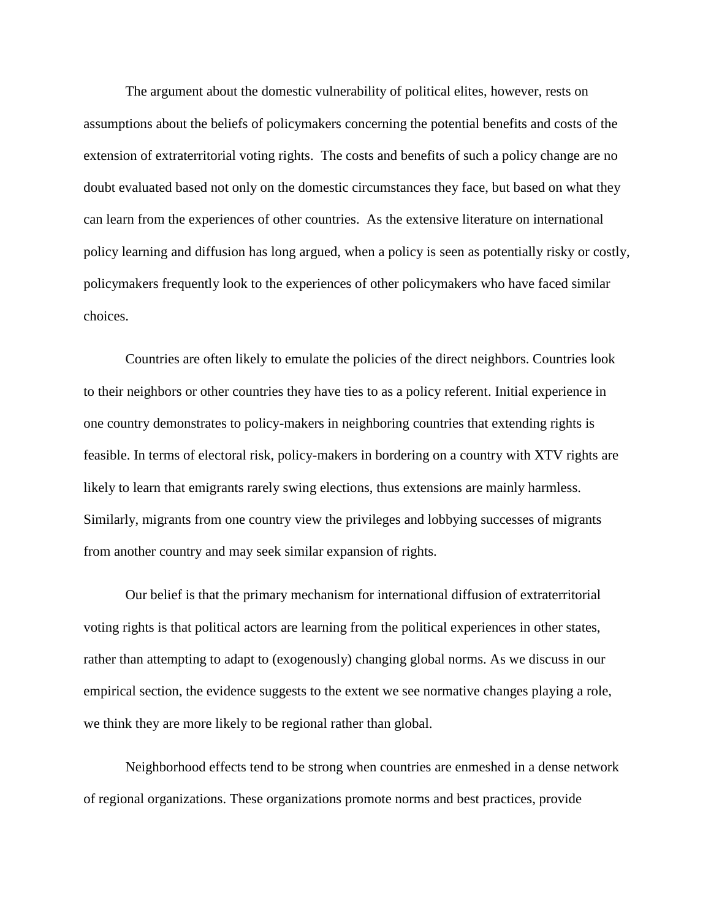The argument about the domestic vulnerability of political elites, however, rests on assumptions about the beliefs of policymakers concerning the potential benefits and costs of the extension of extraterritorial voting rights. The costs and benefits of such a policy change are no doubt evaluated based not only on the domestic circumstances they face, but based on what they can learn from the experiences of other countries. As the extensive literature on international policy learning and diffusion has long argued, when a policy is seen as potentially risky or costly, policymakers frequently look to the experiences of other policymakers who have faced similar choices.

Countries are often likely to emulate the policies of the direct neighbors. Countries look to their neighbors or other countries they have ties to as a policy referent. Initial experience in one country demonstrates to policy-makers in neighboring countries that extending rights is feasible. In terms of electoral risk, policy-makers in bordering on a country with XTV rights are likely to learn that emigrants rarely swing elections, thus extensions are mainly harmless. Similarly, migrants from one country view the privileges and lobbying successes of migrants from another country and may seek similar expansion of rights.

Our belief is that the primary mechanism for international diffusion of extraterritorial voting rights is that political actors are learning from the political experiences in other states, rather than attempting to adapt to (exogenously) changing global norms. As we discuss in our empirical section, the evidence suggests to the extent we see normative changes playing a role, we think they are more likely to be regional rather than global.

Neighborhood effects tend to be strong when countries are enmeshed in a dense network of regional organizations. These organizations promote norms and best practices, provide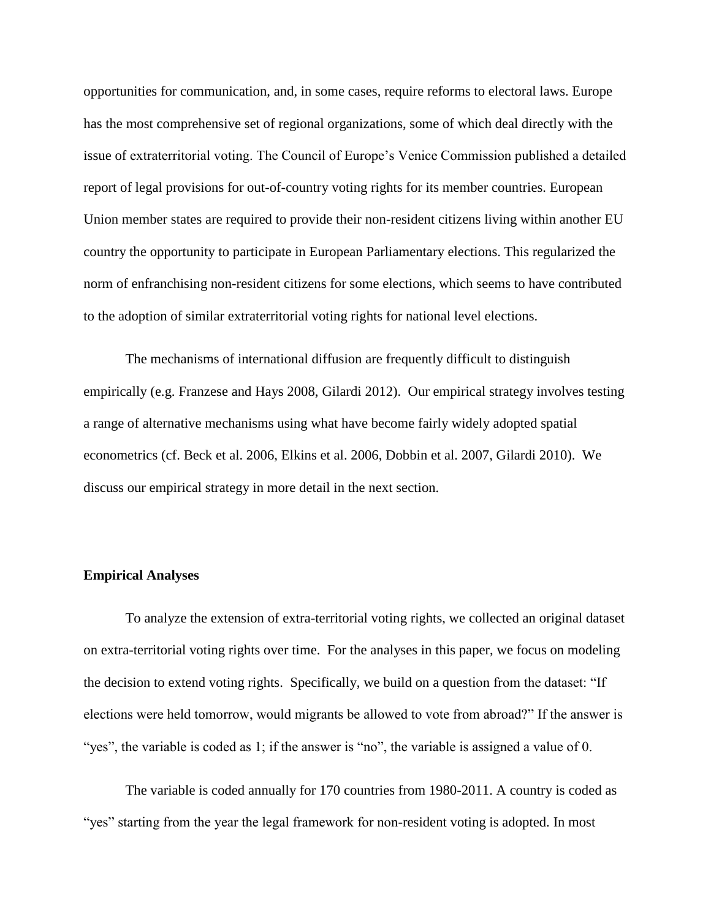opportunities for communication, and, in some cases, require reforms to electoral laws. Europe has the most comprehensive set of regional organizations, some of which deal directly with the issue of extraterritorial voting. The Council of Europe's Venice Commission published a detailed report of legal provisions for out-of-country voting rights for its member countries. European Union member states are required to provide their non-resident citizens living within another EU country the opportunity to participate in European Parliamentary elections. This regularized the norm of enfranchising non-resident citizens for some elections, which seems to have contributed to the adoption of similar extraterritorial voting rights for national level elections.

The mechanisms of international diffusion are frequently difficult to distinguish empirically (e.g. Franzese and Hays 2008, Gilardi 2012). Our empirical strategy involves testing a range of alternative mechanisms using what have become fairly widely adopted spatial econometrics (cf. Beck et al. 2006, Elkins et al. 2006, Dobbin et al. 2007, Gilardi 2010). We discuss our empirical strategy in more detail in the next section.

#### **Empirical Analyses**

To analyze the extension of extra-territorial voting rights, we collected an original dataset on extra-territorial voting rights over time. For the analyses in this paper, we focus on modeling the decision to extend voting rights. Specifically, we build on a question from the dataset: "If elections were held tomorrow, would migrants be allowed to vote from abroad?" If the answer is "yes", the variable is coded as 1; if the answer is "no", the variable is assigned a value of 0.

The variable is coded annually for 170 countries from 1980-2011. A country is coded as "yes" starting from the year the legal framework for non-resident voting is adopted. In most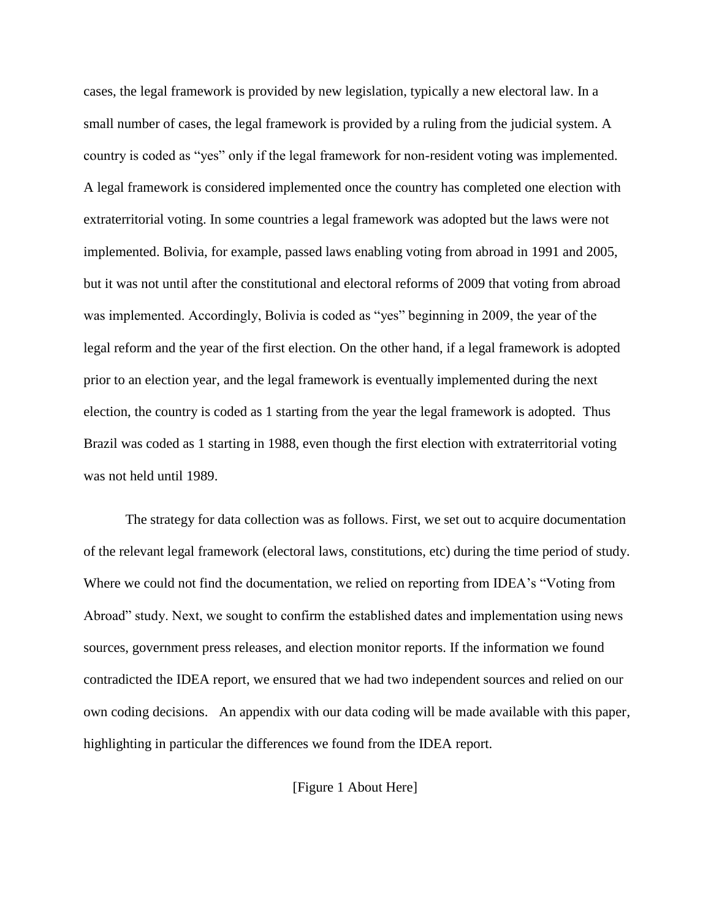cases, the legal framework is provided by new legislation, typically a new electoral law. In a small number of cases, the legal framework is provided by a ruling from the judicial system. A country is coded as "yes" only if the legal framework for non-resident voting was implemented. A legal framework is considered implemented once the country has completed one election with extraterritorial voting. In some countries a legal framework was adopted but the laws were not implemented. Bolivia, for example, passed laws enabling voting from abroad in 1991 and 2005, but it was not until after the constitutional and electoral reforms of 2009 that voting from abroad was implemented. Accordingly, Bolivia is coded as "yes" beginning in 2009, the year of the legal reform and the year of the first election. On the other hand, if a legal framework is adopted prior to an election year, and the legal framework is eventually implemented during the next election, the country is coded as 1 starting from the year the legal framework is adopted. Thus Brazil was coded as 1 starting in 1988, even though the first election with extraterritorial voting was not held until 1989.

The strategy for data collection was as follows. First, we set out to acquire documentation of the relevant legal framework (electoral laws, constitutions, etc) during the time period of study. Where we could not find the documentation, we relied on reporting from IDEA's "Voting from Abroad" study. Next, we sought to confirm the established dates and implementation using news sources, government press releases, and election monitor reports. If the information we found contradicted the IDEA report, we ensured that we had two independent sources and relied on our own coding decisions. An appendix with our data coding will be made available with this paper, highlighting in particular the differences we found from the IDEA report.

[Figure 1 About Here]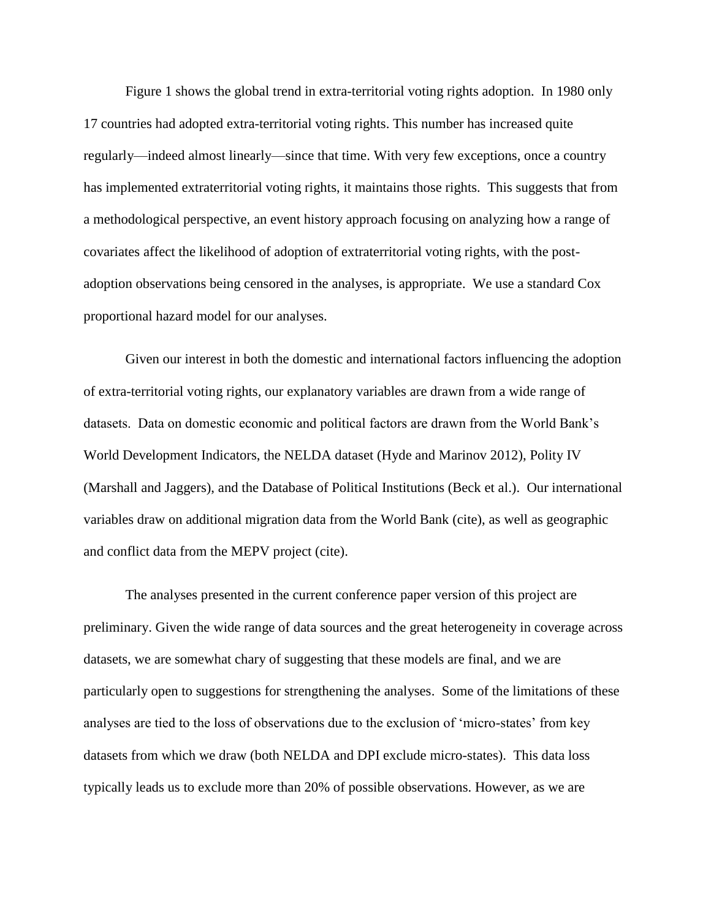Figure 1 shows the global trend in extra-territorial voting rights adoption. In 1980 only 17 countries had adopted extra-territorial voting rights. This number has increased quite regularly—indeed almost linearly—since that time. With very few exceptions, once a country has implemented extraterritorial voting rights, it maintains those rights. This suggests that from a methodological perspective, an event history approach focusing on analyzing how a range of covariates affect the likelihood of adoption of extraterritorial voting rights, with the postadoption observations being censored in the analyses, is appropriate. We use a standard Cox proportional hazard model for our analyses.

Given our interest in both the domestic and international factors influencing the adoption of extra-territorial voting rights, our explanatory variables are drawn from a wide range of datasets. Data on domestic economic and political factors are drawn from the World Bank's World Development Indicators, the NELDA dataset (Hyde and Marinov 2012), Polity IV (Marshall and Jaggers), and the Database of Political Institutions (Beck et al.). Our international variables draw on additional migration data from the World Bank (cite), as well as geographic and conflict data from the MEPV project (cite).

The analyses presented in the current conference paper version of this project are preliminary. Given the wide range of data sources and the great heterogeneity in coverage across datasets, we are somewhat chary of suggesting that these models are final, and we are particularly open to suggestions for strengthening the analyses. Some of the limitations of these analyses are tied to the loss of observations due to the exclusion of 'micro-states' from key datasets from which we draw (both NELDA and DPI exclude micro-states). This data loss typically leads us to exclude more than 20% of possible observations. However, as we are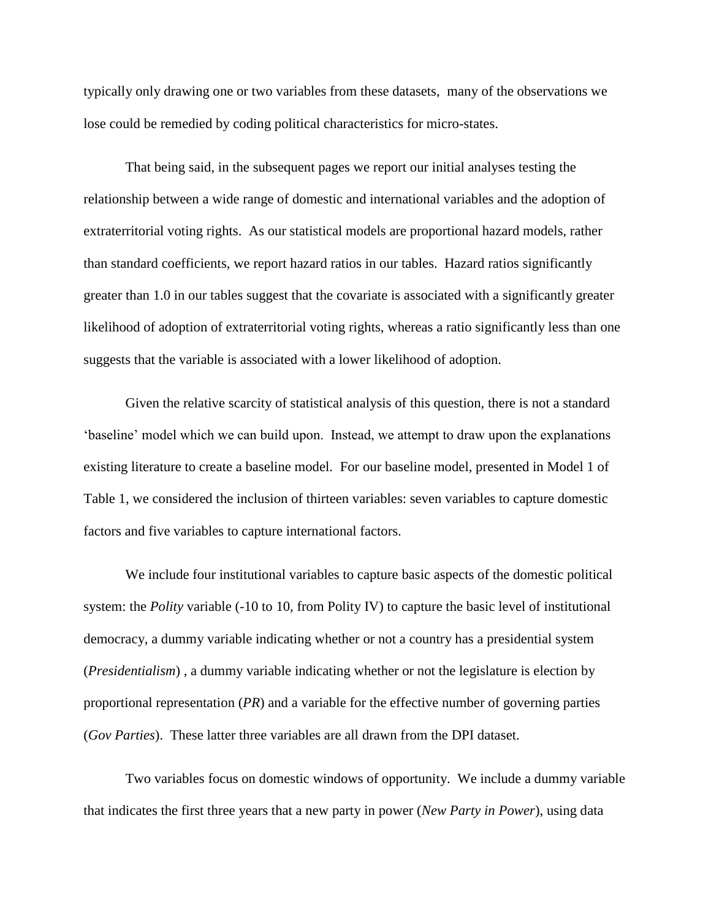typically only drawing one or two variables from these datasets, many of the observations we lose could be remedied by coding political characteristics for micro-states.

That being said, in the subsequent pages we report our initial analyses testing the relationship between a wide range of domestic and international variables and the adoption of extraterritorial voting rights. As our statistical models are proportional hazard models, rather than standard coefficients, we report hazard ratios in our tables. Hazard ratios significantly greater than 1.0 in our tables suggest that the covariate is associated with a significantly greater likelihood of adoption of extraterritorial voting rights, whereas a ratio significantly less than one suggests that the variable is associated with a lower likelihood of adoption.

Given the relative scarcity of statistical analysis of this question, there is not a standard 'baseline' model which we can build upon. Instead, we attempt to draw upon the explanations existing literature to create a baseline model. For our baseline model, presented in Model 1 of Table 1, we considered the inclusion of thirteen variables: seven variables to capture domestic factors and five variables to capture international factors.

We include four institutional variables to capture basic aspects of the domestic political system: the *Polity* variable (-10 to 10, from Polity IV) to capture the basic level of institutional democracy, a dummy variable indicating whether or not a country has a presidential system (*Presidentialism*) , a dummy variable indicating whether or not the legislature is election by proportional representation (*PR*) and a variable for the effective number of governing parties (*Gov Parties*). These latter three variables are all drawn from the DPI dataset.

Two variables focus on domestic windows of opportunity. We include a dummy variable that indicates the first three years that a new party in power (*New Party in Power*), using data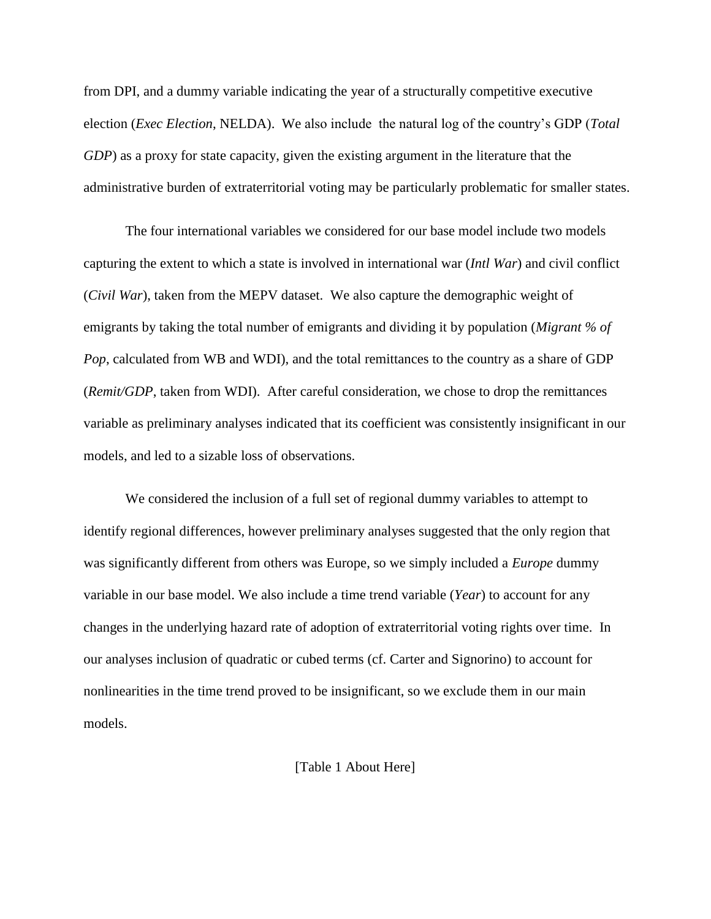from DPI, and a dummy variable indicating the year of a structurally competitive executive election (*Exec Election*, NELDA). We also include the natural log of the country's GDP (*Total GDP*) as a proxy for state capacity, given the existing argument in the literature that the administrative burden of extraterritorial voting may be particularly problematic for smaller states.

The four international variables we considered for our base model include two models capturing the extent to which a state is involved in international war (*Intl War*) and civil conflict (*Civil War*), taken from the MEPV dataset. We also capture the demographic weight of emigrants by taking the total number of emigrants and dividing it by population (*Migrant % of Pop*, calculated from WB and WDI), and the total remittances to the country as a share of GDP (*Remit/GDP*, taken from WDI). After careful consideration, we chose to drop the remittances variable as preliminary analyses indicated that its coefficient was consistently insignificant in our models, and led to a sizable loss of observations.

We considered the inclusion of a full set of regional dummy variables to attempt to identify regional differences, however preliminary analyses suggested that the only region that was significantly different from others was Europe, so we simply included a *Europe* dummy variable in our base model. We also include a time trend variable (*Year*) to account for any changes in the underlying hazard rate of adoption of extraterritorial voting rights over time. In our analyses inclusion of quadratic or cubed terms (cf. Carter and Signorino) to account for nonlinearities in the time trend proved to be insignificant, so we exclude them in our main models.

[Table 1 About Here]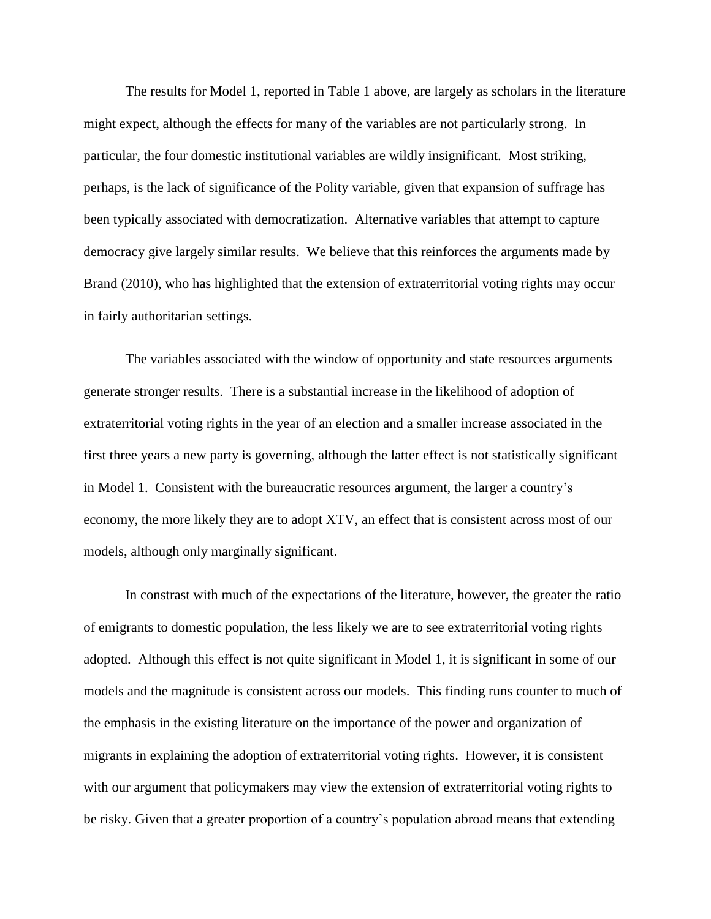The results for Model 1, reported in Table 1 above, are largely as scholars in the literature might expect, although the effects for many of the variables are not particularly strong. In particular, the four domestic institutional variables are wildly insignificant. Most striking, perhaps, is the lack of significance of the Polity variable, given that expansion of suffrage has been typically associated with democratization. Alternative variables that attempt to capture democracy give largely similar results. We believe that this reinforces the arguments made by Brand (2010), who has highlighted that the extension of extraterritorial voting rights may occur in fairly authoritarian settings.

The variables associated with the window of opportunity and state resources arguments generate stronger results. There is a substantial increase in the likelihood of adoption of extraterritorial voting rights in the year of an election and a smaller increase associated in the first three years a new party is governing, although the latter effect is not statistically significant in Model 1. Consistent with the bureaucratic resources argument, the larger a country's economy, the more likely they are to adopt XTV, an effect that is consistent across most of our models, although only marginally significant.

In constrast with much of the expectations of the literature, however, the greater the ratio of emigrants to domestic population, the less likely we are to see extraterritorial voting rights adopted. Although this effect is not quite significant in Model 1, it is significant in some of our models and the magnitude is consistent across our models. This finding runs counter to much of the emphasis in the existing literature on the importance of the power and organization of migrants in explaining the adoption of extraterritorial voting rights. However, it is consistent with our argument that policymakers may view the extension of extraterritorial voting rights to be risky. Given that a greater proportion of a country's population abroad means that extending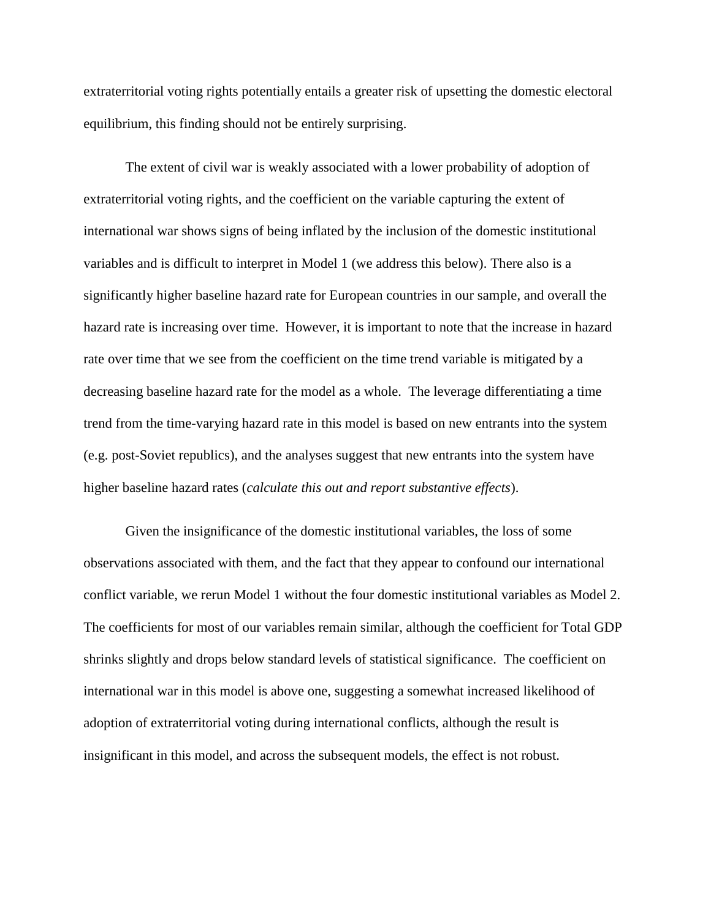extraterritorial voting rights potentially entails a greater risk of upsetting the domestic electoral equilibrium, this finding should not be entirely surprising.

The extent of civil war is weakly associated with a lower probability of adoption of extraterritorial voting rights, and the coefficient on the variable capturing the extent of international war shows signs of being inflated by the inclusion of the domestic institutional variables and is difficult to interpret in Model 1 (we address this below). There also is a significantly higher baseline hazard rate for European countries in our sample, and overall the hazard rate is increasing over time. However, it is important to note that the increase in hazard rate over time that we see from the coefficient on the time trend variable is mitigated by a decreasing baseline hazard rate for the model as a whole. The leverage differentiating a time trend from the time-varying hazard rate in this model is based on new entrants into the system (e.g. post-Soviet republics), and the analyses suggest that new entrants into the system have higher baseline hazard rates (*calculate this out and report substantive effects*).

Given the insignificance of the domestic institutional variables, the loss of some observations associated with them, and the fact that they appear to confound our international conflict variable, we rerun Model 1 without the four domestic institutional variables as Model 2. The coefficients for most of our variables remain similar, although the coefficient for Total GDP shrinks slightly and drops below standard levels of statistical significance. The coefficient on international war in this model is above one, suggesting a somewhat increased likelihood of adoption of extraterritorial voting during international conflicts, although the result is insignificant in this model, and across the subsequent models, the effect is not robust.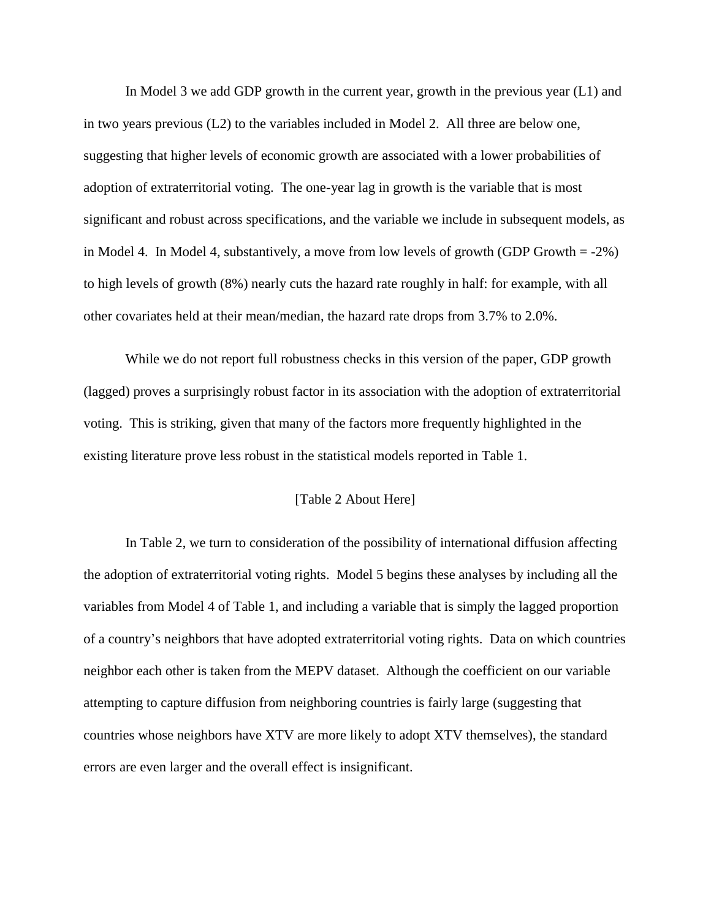In Model 3 we add GDP growth in the current year, growth in the previous year (L1) and in two years previous (L2) to the variables included in Model 2. All three are below one, suggesting that higher levels of economic growth are associated with a lower probabilities of adoption of extraterritorial voting. The one-year lag in growth is the variable that is most significant and robust across specifications, and the variable we include in subsequent models, as in Model 4. In Model 4, substantively, a move from low levels of growth (GDP Growth = -2%) to high levels of growth (8%) nearly cuts the hazard rate roughly in half: for example, with all other covariates held at their mean/median, the hazard rate drops from 3.7% to 2.0%.

While we do not report full robustness checks in this version of the paper, GDP growth (lagged) proves a surprisingly robust factor in its association with the adoption of extraterritorial voting. This is striking, given that many of the factors more frequently highlighted in the existing literature prove less robust in the statistical models reported in Table 1.

#### [Table 2 About Here]

In Table 2, we turn to consideration of the possibility of international diffusion affecting the adoption of extraterritorial voting rights. Model 5 begins these analyses by including all the variables from Model 4 of Table 1, and including a variable that is simply the lagged proportion of a country's neighbors that have adopted extraterritorial voting rights. Data on which countries neighbor each other is taken from the MEPV dataset. Although the coefficient on our variable attempting to capture diffusion from neighboring countries is fairly large (suggesting that countries whose neighbors have XTV are more likely to adopt XTV themselves), the standard errors are even larger and the overall effect is insignificant.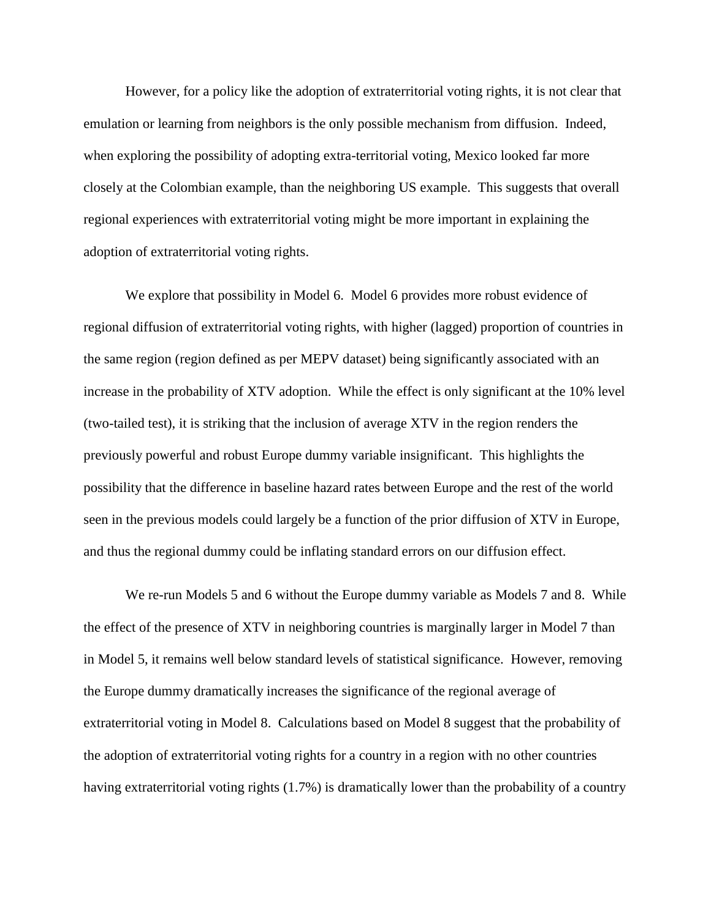However, for a policy like the adoption of extraterritorial voting rights, it is not clear that emulation or learning from neighbors is the only possible mechanism from diffusion. Indeed, when exploring the possibility of adopting extra-territorial voting, Mexico looked far more closely at the Colombian example, than the neighboring US example. This suggests that overall regional experiences with extraterritorial voting might be more important in explaining the adoption of extraterritorial voting rights.

We explore that possibility in Model 6. Model 6 provides more robust evidence of regional diffusion of extraterritorial voting rights, with higher (lagged) proportion of countries in the same region (region defined as per MEPV dataset) being significantly associated with an increase in the probability of XTV adoption. While the effect is only significant at the 10% level (two-tailed test), it is striking that the inclusion of average XTV in the region renders the previously powerful and robust Europe dummy variable insignificant. This highlights the possibility that the difference in baseline hazard rates between Europe and the rest of the world seen in the previous models could largely be a function of the prior diffusion of XTV in Europe, and thus the regional dummy could be inflating standard errors on our diffusion effect.

We re-run Models 5 and 6 without the Europe dummy variable as Models 7 and 8. While the effect of the presence of XTV in neighboring countries is marginally larger in Model 7 than in Model 5, it remains well below standard levels of statistical significance. However, removing the Europe dummy dramatically increases the significance of the regional average of extraterritorial voting in Model 8. Calculations based on Model 8 suggest that the probability of the adoption of extraterritorial voting rights for a country in a region with no other countries having extraterritorial voting rights (1.7%) is dramatically lower than the probability of a country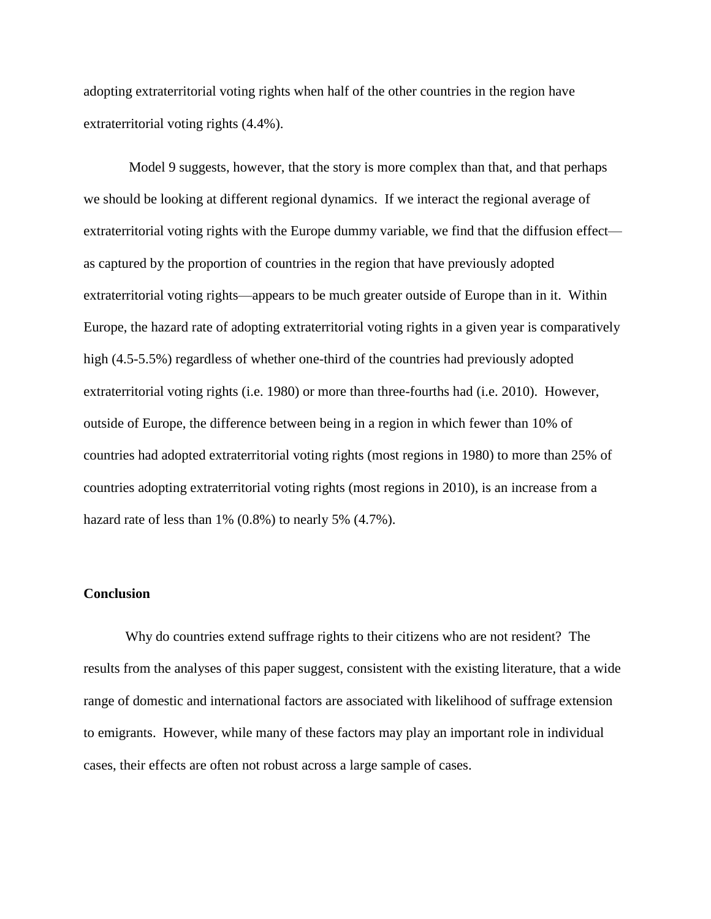adopting extraterritorial voting rights when half of the other countries in the region have extraterritorial voting rights (4.4%).

Model 9 suggests, however, that the story is more complex than that, and that perhaps we should be looking at different regional dynamics. If we interact the regional average of extraterritorial voting rights with the Europe dummy variable, we find that the diffusion effect as captured by the proportion of countries in the region that have previously adopted extraterritorial voting rights—appears to be much greater outside of Europe than in it. Within Europe, the hazard rate of adopting extraterritorial voting rights in a given year is comparatively high (4.5-5.5%) regardless of whether one-third of the countries had previously adopted extraterritorial voting rights (i.e. 1980) or more than three-fourths had (i.e. 2010). However, outside of Europe, the difference between being in a region in which fewer than 10% of countries had adopted extraterritorial voting rights (most regions in 1980) to more than 25% of countries adopting extraterritorial voting rights (most regions in 2010), is an increase from a hazard rate of less than 1% (0.8%) to nearly 5% (4.7%).

# **Conclusion**

Why do countries extend suffrage rights to their citizens who are not resident? The results from the analyses of this paper suggest, consistent with the existing literature, that a wide range of domestic and international factors are associated with likelihood of suffrage extension to emigrants. However, while many of these factors may play an important role in individual cases, their effects are often not robust across a large sample of cases.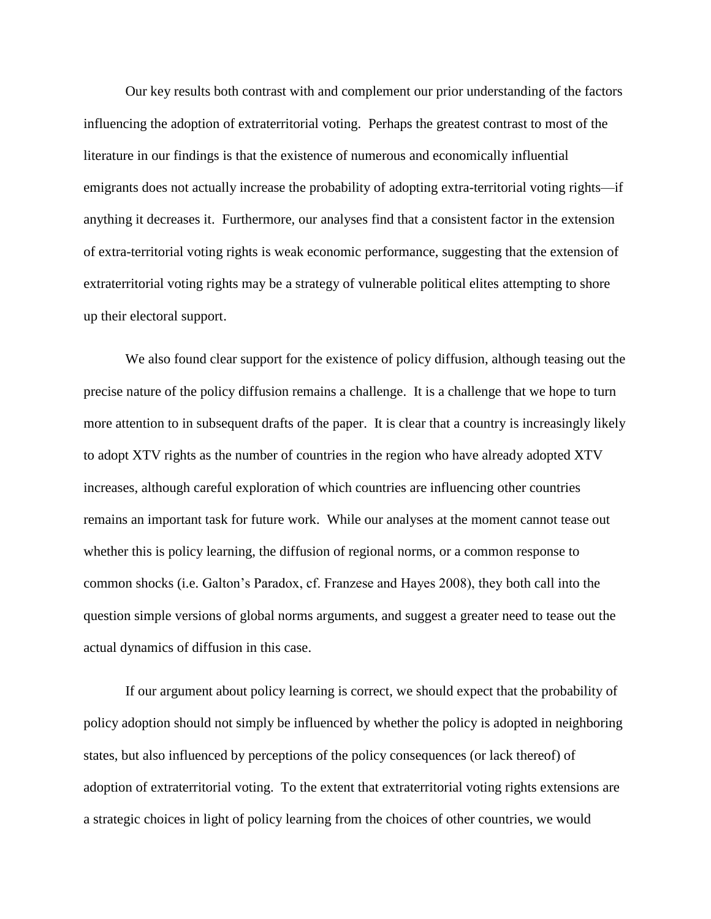Our key results both contrast with and complement our prior understanding of the factors influencing the adoption of extraterritorial voting. Perhaps the greatest contrast to most of the literature in our findings is that the existence of numerous and economically influential emigrants does not actually increase the probability of adopting extra-territorial voting rights—if anything it decreases it. Furthermore, our analyses find that a consistent factor in the extension of extra-territorial voting rights is weak economic performance, suggesting that the extension of extraterritorial voting rights may be a strategy of vulnerable political elites attempting to shore up their electoral support.

We also found clear support for the existence of policy diffusion, although teasing out the precise nature of the policy diffusion remains a challenge. It is a challenge that we hope to turn more attention to in subsequent drafts of the paper. It is clear that a country is increasingly likely to adopt XTV rights as the number of countries in the region who have already adopted XTV increases, although careful exploration of which countries are influencing other countries remains an important task for future work. While our analyses at the moment cannot tease out whether this is policy learning, the diffusion of regional norms, or a common response to common shocks (i.e. Galton's Paradox, cf. Franzese and Hayes 2008), they both call into the question simple versions of global norms arguments, and suggest a greater need to tease out the actual dynamics of diffusion in this case.

If our argument about policy learning is correct, we should expect that the probability of policy adoption should not simply be influenced by whether the policy is adopted in neighboring states, but also influenced by perceptions of the policy consequences (or lack thereof) of adoption of extraterritorial voting. To the extent that extraterritorial voting rights extensions are a strategic choices in light of policy learning from the choices of other countries, we would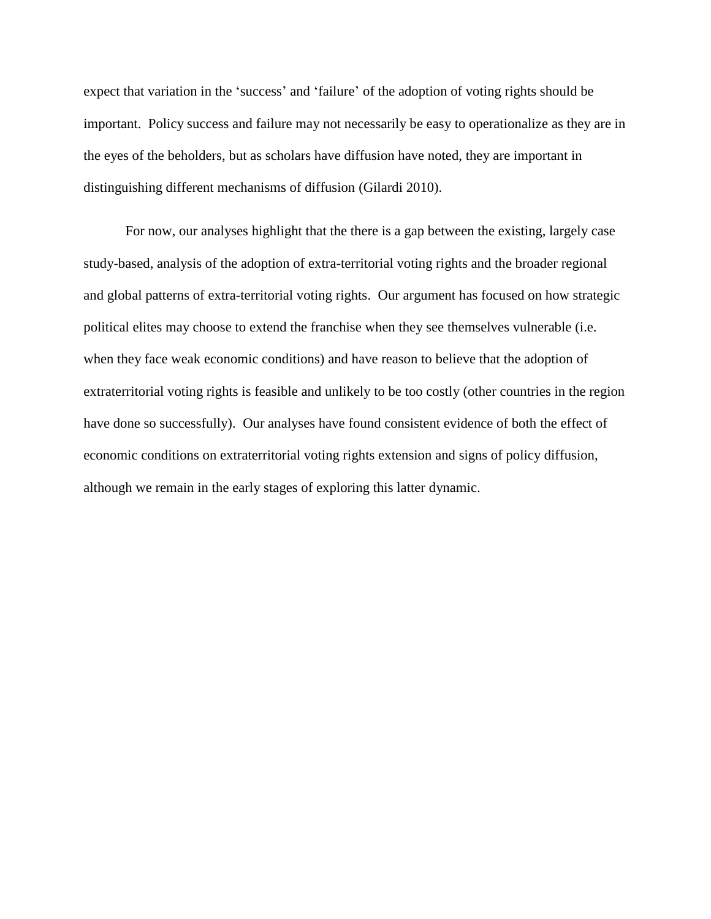expect that variation in the 'success' and 'failure' of the adoption of voting rights should be important. Policy success and failure may not necessarily be easy to operationalize as they are in the eyes of the beholders, but as scholars have diffusion have noted, they are important in distinguishing different mechanisms of diffusion (Gilardi 2010).

For now, our analyses highlight that the there is a gap between the existing, largely case study-based, analysis of the adoption of extra-territorial voting rights and the broader regional and global patterns of extra-territorial voting rights. Our argument has focused on how strategic political elites may choose to extend the franchise when they see themselves vulnerable (i.e. when they face weak economic conditions) and have reason to believe that the adoption of extraterritorial voting rights is feasible and unlikely to be too costly (other countries in the region have done so successfully). Our analyses have found consistent evidence of both the effect of economic conditions on extraterritorial voting rights extension and signs of policy diffusion, although we remain in the early stages of exploring this latter dynamic.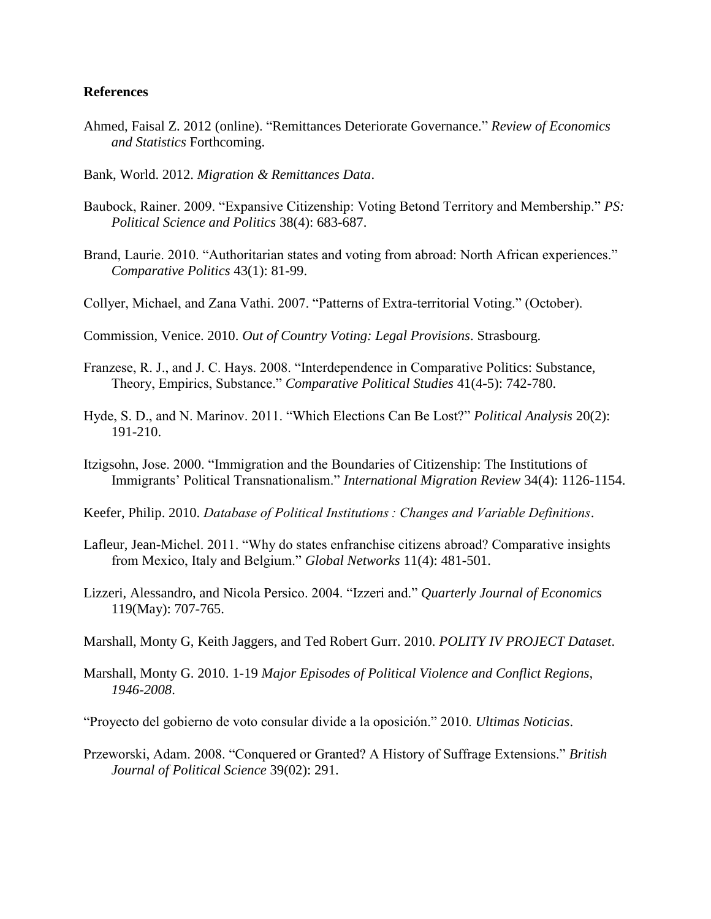# **References**

- Ahmed, Faisal Z. 2012 (online). "Remittances Deteriorate Governance." *Review of Economics and Statistics* Forthcoming.
- Bank, World. 2012. *Migration & Remittances Data*.
- Baubock, Rainer. 2009. "Expansive Citizenship: Voting Betond Territory and Membership." *PS: Political Science and Politics* 38(4): 683-687.
- Brand, Laurie. 2010. "Authoritarian states and voting from abroad: North African experiences." *Comparative Politics* 43(1): 81-99.
- Collyer, Michael, and Zana Vathi. 2007. "Patterns of Extra-territorial Voting." (October).

Commission, Venice. 2010. *Out of Country Voting: Legal Provisions*. Strasbourg.

- Franzese, R. J., and J. C. Hays. 2008. "Interdependence in Comparative Politics: Substance, Theory, Empirics, Substance." *Comparative Political Studies* 41(4-5): 742-780.
- Hyde, S. D., and N. Marinov. 2011. "Which Elections Can Be Lost?" *Political Analysis* 20(2): 191-210.
- Itzigsohn, Jose. 2000. "Immigration and the Boundaries of Citizenship: The Institutions of Immigrants' Political Transnationalism." *International Migration Review* 34(4): 1126-1154.
- Keefer, Philip. 2010. *Database of Political Institutions : Changes and Variable Definitions*.
- Lafleur, Jean-Michel. 2011. "Why do states enfranchise citizens abroad? Comparative insights from Mexico, Italy and Belgium." *Global Networks* 11(4): 481-501.
- Lizzeri, Alessandro, and Nicola Persico. 2004. "Izzeri and." *Quarterly Journal of Economics* 119(May): 707-765.
- Marshall, Monty G, Keith Jaggers, and Ted Robert Gurr. 2010. *POLITY IV PROJECT Dataset*.
- Marshall, Monty G. 2010. 1-19 *Major Episodes of Political Violence and Conflict Regions, 1946-2008*.

"Proyecto del gobierno de voto consular divide a la oposición." 2010. *Ultimas Noticias*.

Przeworski, Adam. 2008. "Conquered or Granted? A History of Suffrage Extensions." *British Journal of Political Science* 39(02): 291.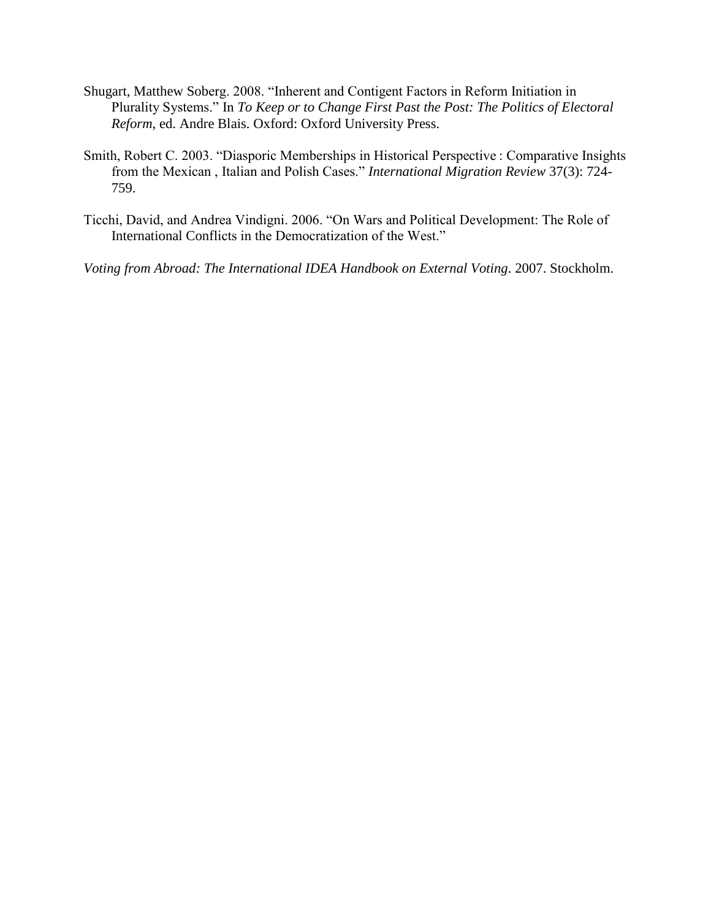- Shugart, Matthew Soberg. 2008. "Inherent and Contigent Factors in Reform Initiation in Plurality Systems." In *To Keep or to Change First Past the Post: The Politics of Electoral Reform*, ed. Andre Blais. Oxford: Oxford University Press.
- Smith, Robert C. 2003. "Diasporic Memberships in Historical Perspective : Comparative Insights from the Mexican , Italian and Polish Cases." *International Migration Review* 37(3): 724- 759.
- Ticchi, David, and Andrea Vindigni. 2006. "On Wars and Political Development: The Role of International Conflicts in the Democratization of the West."

*Voting from Abroad: The International IDEA Handbook on External Voting*. 2007. Stockholm.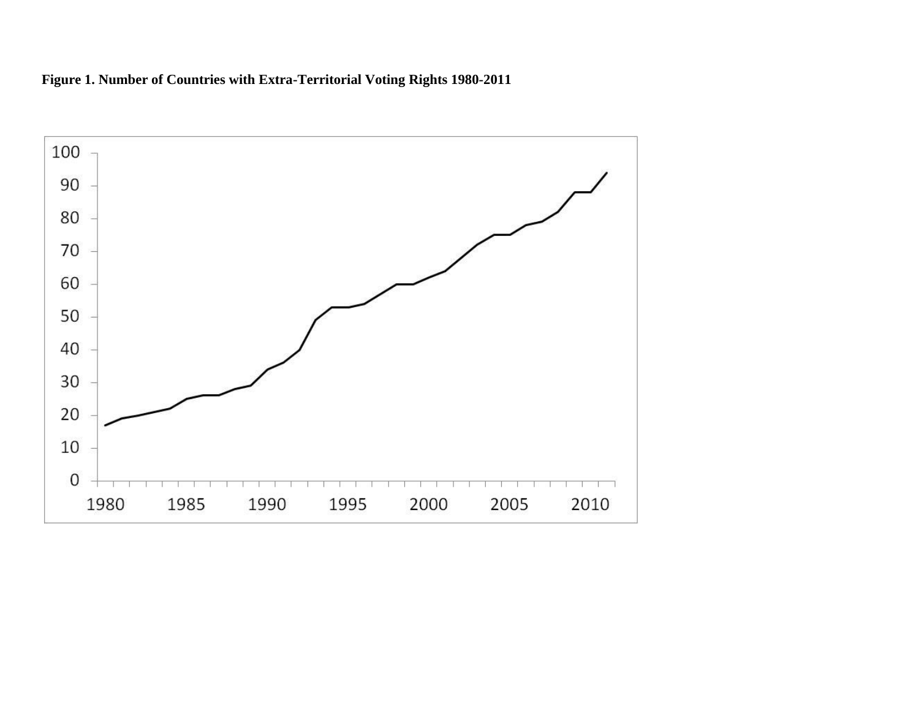

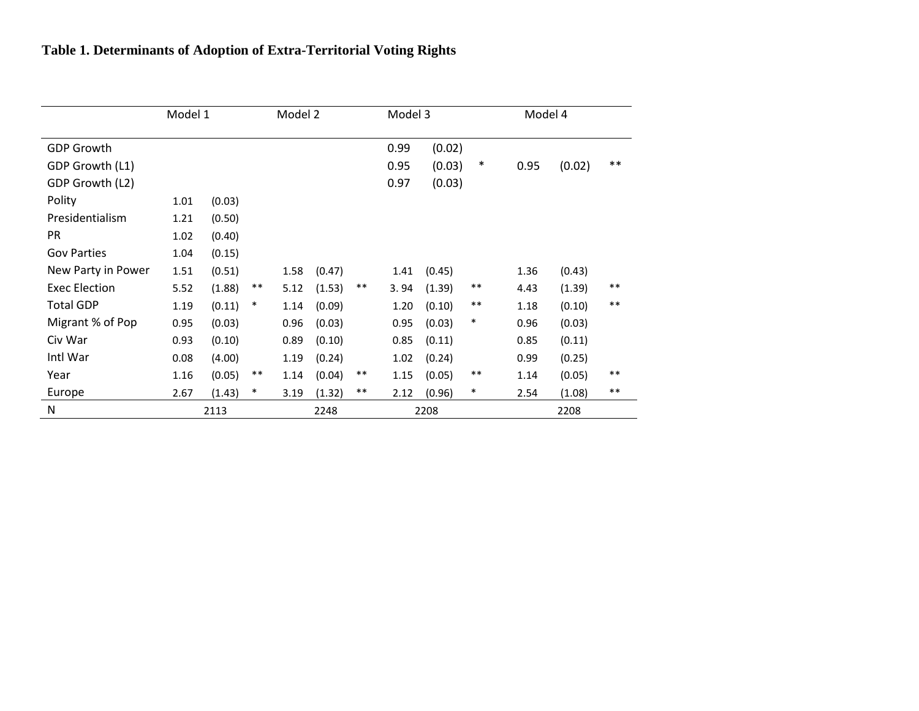|                      | Model 1 |        |        | Model 2 |        |       | Model 3 |        |        | Model 4 |        |       |
|----------------------|---------|--------|--------|---------|--------|-------|---------|--------|--------|---------|--------|-------|
| <b>GDP Growth</b>    |         |        |        |         |        |       | 0.99    | (0.02) |        |         |        |       |
| GDP Growth (L1)      |         |        |        |         |        |       | 0.95    | (0.03) | $\ast$ | 0.95    | (0.02) | $***$ |
| GDP Growth (L2)      |         |        |        |         |        |       | 0.97    | (0.03) |        |         |        |       |
| Polity               | 1.01    | (0.03) |        |         |        |       |         |        |        |         |        |       |
| Presidentialism      | 1.21    | (0.50) |        |         |        |       |         |        |        |         |        |       |
| PR                   | 1.02    | (0.40) |        |         |        |       |         |        |        |         |        |       |
| <b>Gov Parties</b>   | 1.04    | (0.15) |        |         |        |       |         |        |        |         |        |       |
| New Party in Power   | 1.51    | (0.51) |        | 1.58    | (0.47) |       | 1.41    | (0.45) |        | 1.36    | (0.43) |       |
| <b>Exec Election</b> | 5.52    | (1.88) | $***$  | 5.12    | (1.53) | $***$ | 3.94    | (1.39) | $***$  | 4.43    | (1.39) | $***$ |
| <b>Total GDP</b>     | 1.19    | (0.11) | $\ast$ | 1.14    | (0.09) |       | 1.20    | (0.10) | $***$  | 1.18    | (0.10) | $***$ |
| Migrant % of Pop     | 0.95    | (0.03) |        | 0.96    | (0.03) |       | 0.95    | (0.03) | $\ast$ | 0.96    | (0.03) |       |
| Civ War              | 0.93    | (0.10) |        | 0.89    | (0.10) |       | 0.85    | (0.11) |        | 0.85    | (0.11) |       |
| Intl War             | 0.08    | (4.00) |        | 1.19    | (0.24) |       | 1.02    | (0.24) |        | 0.99    | (0.25) |       |
| Year                 | 1.16    | (0.05) | $***$  | 1.14    | (0.04) | $***$ | 1.15    | (0.05) | $***$  | 1.14    | (0.05) | $***$ |
| Europe               | 2.67    | (1.43) | $\ast$ | 3.19    | (1.32) | $***$ | 2.12    | (0.96) | $\ast$ | 2.54    | (1.08) | $***$ |
| N                    |         | 2113   | 2248   |         |        | 2208  |         |        | 2208   |         |        |       |